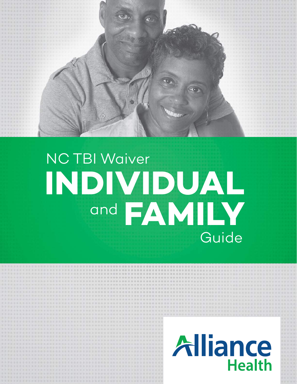

# Guide **INDIVIDUAL** and **FAMILY** NC TBI Waiver

## Alliance **Health**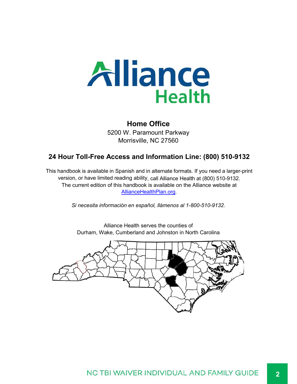![](_page_1_Picture_0.jpeg)

#### **Home Office**

5200 W. Paramount Parkway Morrisville, NC 27560

#### **24 Hour Toll-Free Access and Information Line: (800) 510-9132**

This handbook is available in Spanish and in alternate formats. If you need a larger-print version, or have limited reading ability, call Alliance Health at (800) 510-9132. The current edition of this handbook is available on the Alliance website at AllianceHealthPlan.org.

*Si necesita información en español, llámenos al 1-800-510-9132.*

![](_page_1_Picture_6.jpeg)

Alliance Health serves the counties of Durham, Wake, Cumberland and Johnston in North Carolina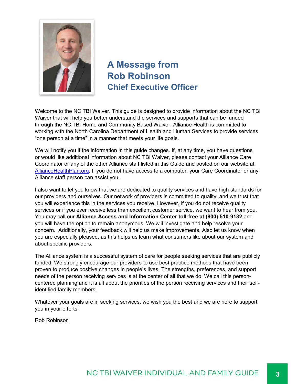![](_page_2_Picture_0.jpeg)

### **A Message from Rob Robinson Chief Executive Officer**

Welcome to the NC TBI Waiver. This guide is designed to provide information about the NC TBI Waiver that will help you better understand the services and supports that can be funded through the NC TBI Home and Community Based Waiver. Alliance Health is committed to working with the North Carolina Department of Health and Human Services to provide services "one person at a time" in a manner that meets your life goals.

We will notify you if the information in this guide changes. If, at any time, you have questions or would like additional information about NC TBI Waiver, please contact your Alliance Care Coordinator or any of the other Alliance staff listed in this Guide and posted on our website at AllianceHealthPlan.org. If you do not have access to a computer, your Care Coordinator or any Alliance staff person can assist you.

I also want to let you know that we are dedicated to quality services and have high standards for our providers and ourselves. Our network of providers is committed to quality, and we trust that you will experience this in the services you receive. However, if you do not receive quality services or if you ever receive less than excellent customer service, we want to hear from you. You may call our **Alliance Access and Information Center toll-free at (800) 510-9132** and you will have the option to remain anonymous. We will investigate and help resolve your concern. Additionally, your feedback will help us make improvements. Also let us know when you are especially pleased, as this helps us learn what consumers like about our system and about specific providers.

The Alliance system is a successful system of care for people seeking services that are publicly funded. We strongly encourage our providers to use best practice methods that have been proven to produce positive changes in people's lives. The strengths, preferences, and support needs of the person receiving services is at the center of all that we do. We call this personcentered planning and it is all about the priorities of the person receiving services and their selfidentified family members.

Whatever your goals are in seeking services, we wish you the best and we are here to support you in your efforts!

Rob Robinson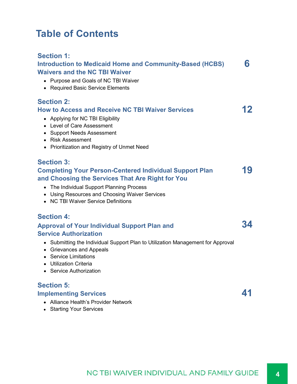### **Table of Contents**

#### **Section 1:**

| <b>Introduction to Medicaid Home and Community-Based (HCBS)</b><br><b>Waivers and the NC TBI Waiver</b><br>• Purpose and Goals of NC TBI Waiver<br>• Required Basic Service Elements                                                                                                                | 6  |
|-----------------------------------------------------------------------------------------------------------------------------------------------------------------------------------------------------------------------------------------------------------------------------------------------------|----|
| <b>Section 2:</b><br><b>How to Access and Receive NC TBI Waiver Services</b><br>• Applying for NC TBI Eligibility<br>• Level of Care Assessment<br>• Support Needs Assessment<br>• Risk Assessment<br>• Prioritization and Registry of Unmet Need                                                   | 12 |
| <b>Section 3:</b><br><b>Completing Your Person-Centered Individual Support Plan</b><br>and Choosing the Services That Are Right for You<br>The Individual Support Planning Process<br>$\bullet$<br>• Using Resources and Choosing Waiver Services<br>• NC TBI Waiver Service Definitions            | 19 |
| <b>Section 4:</b><br><b>Approval of Your Individual Support Plan and</b><br><b>Service Authorization</b><br>Submitting the Individual Support Plan to Utilization Management for Approval<br>• Grievances and Appeals<br>• Service Limitations<br>• Utilization Criteria<br>• Service Authorization | 34 |
| <b>Section 5:</b><br><b>Implementing Services</b>                                                                                                                                                                                                                                                   | 41 |

- Alliance Health's Provider Network
- Starting Your Services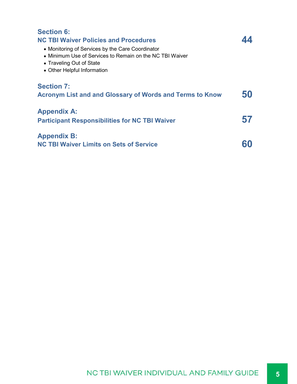| <b>Section 6:</b>                                               |    |
|-----------------------------------------------------------------|----|
| <b>NC TBI Waiver Policies and Procedures</b>                    |    |
| • Monitoring of Services by the Care Coordinator                |    |
| • Minimum Use of Services to Remain on the NC TBI Waiver        |    |
| • Traveling Out of State                                        |    |
| • Other Helpful Information                                     |    |
| <b>Section 7:</b>                                               |    |
| <b>Acronym List and and Glossary of Words and Terms to Know</b> | 50 |
| <b>Appendix A:</b>                                              |    |
| <b>Participant Responsibilities for NC TBI Waiver</b>           |    |
|                                                                 |    |
| <b>Appendix B:</b>                                              |    |
| <b>NC TBI Waiver Limits on Sets of Service</b>                  |    |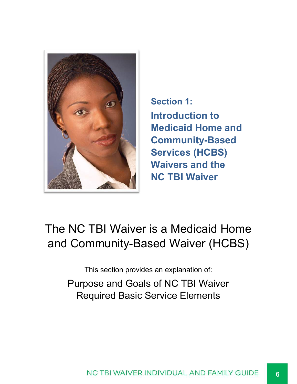![](_page_5_Picture_0.jpeg)

**Section 1: Introduction to Medicaid Home and Community-Based Services (HCBS) Waivers and the NC TBI Waiver**

### The NC TBI Waiver is a Medicaid Home and Community-Based Waiver (HCBS)

This section provides an explanation of: Purpose and Goals of NC TBI Waiver Required Basic Service Elements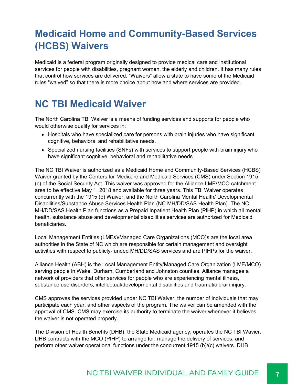### **Medicaid Home and Community-Based Services (HCBS) Waivers**

Medicaid is a federal program originally designed to provide medical care and institutional services for people with disabilities, pregnant women, the elderly and children. It has many rules that control how services are delivered. "Waivers" allow a state to have some of the Medicaid rules "waived" so that there is more choice about how and where services are provided.

### **NC TBI Medicaid Waiver**

The North Carolina TBI Waiver is a means of funding services and supports for people who would otherwise qualify for services in:

- Hospitals who have specialized care for persons with brain injuries who have significant cognitive, behavioral and rehabilitative needs.
- Specialized nursing facilities (SNFs) with services to support people with brain injury who have significant cognitive, behavioral and rehabilitative needs.

The NC TBI Waiver is authorized as a Medicaid Home and Community-Based Services (HCBS) Waiver granted by the Centers for Medicare and Medicaid Services (CMS) under Section 1915 (c) of the Social Security Act. This waiver was approved for the Alliance LME/MCO catchment area to be effective May 1, 2018 and available for three years. This TBI Waiver operates concurrently with the 1915 (b) Waiver, and the North Carolina Mental Health/ Developmental Disabilities/Substance Abuse Services Health Plan (NC MH/DD/SAS Health Plan). The NC MH/DD/SAS Health Plan functions as a Prepaid Inpatient Health Plan (PIHP) in which all mental health, substance abuse and developmental disabilities services are authorized for Medicaid beneficiaries.

Local Management Entities (LMEs)/Managed Care Organizations (MCO)s are the local area authorities in the State of NC which are responsible for certain management and oversight activities with respect to publicly-funded MH/DD/SAS services and are PIHPs for the waiver.

Alliance Health (ABH) is the Local Management Entity/Managed Care Organization (LME/MCO) serving people in Wake, Durham, Cumberland and Johnston counties. Alliance manages a network of providers that offer services for people who are experiencing mental illness, substance use disorders, intellectual/developmental disabilities and traumatic brain injury.

CMS approves the services provided under NC TBI Waiver, the number of individuals that may participate each year, and other aspects of the program. The waiver can be amended with the approval of CMS. CMS may exercise its authority to terminate the waiver whenever it believes the waiver is not operated properly.

The Division of Health Benefits (DHB), the State Medicaid agency, operates the NC TBI Wavier. DHB contracts with the MCO (PIHP) to arrange for, manage the delivery of services, and perform other waiver operational functions under the concurrent 1915 (b)/(c) waivers. DHB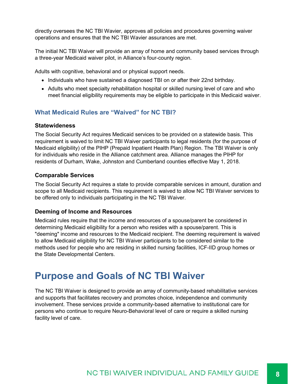directly oversees the NC TBI Wavier, approves all policies and procedures governing waiver operations and ensures that the NC TBI Wavier assurances are met.

The initial NC TBI Waiver will provide an array of home and community based services through a three-year Medicaid waiver pilot, in Alliance's four-county region.

Adults with cognitive, behavioral and or physical support needs.

- Individuals who have sustained a diagnosed TBI on or after their 22nd birthday.
- Adults who meet specialty rehabilitation hospital or skilled nursing level of care and who meet financial eligibility requirements may be eligible to participate in this Medicaid waiver.

#### **What Medicaid Rules are "Waived" for NC TBI?**

#### **Statewideness**

The Social Security Act requires Medicaid services to be provided on a statewide basis. This requirement is waived to limit NC TBI Waiver participants to legal residents (for the purpose of Medicaid eligibility) of the PIHP (Prepaid Inpatient Health Plan) Region. The TBI Waiver is only for individuals who reside in the Alliance catchment area. Alliance manages the PIHP for residents of Durham, Wake, Johnston and Cumberland counties effective May 1, 2018.

#### **Comparable Services**

The Social Security Act requires a state to provide comparable services in amount, duration and scope to all Medicaid recipients. This requirement is waived to allow NC TBI Waiver services to be offered only to individuals participating in the NC TBI Waiver.

#### **Deeming of Income and Resources**

Medicaid rules require that the income and resources of a spouse/parent be considered in determining Medicaid eligibility for a person who resides with a spouse/parent. This is "deeming" income and resources to the Medicaid recipient. The deeming requirement is waived to allow Medicaid eligibility for NC TBI Waiver participants to be considered similar to the methods used for people who are residing in skilled nursing facilities, ICF-IID group homes or the State Developmental Centers.

### **Purpose and Goals of NC TBI Waiver**

The NC TBI Waiver is designed to provide an array of community-based rehabilitative services and supports that facilitates recovery and promotes choice, independence and community involvement. These services provide a community-based alternative to institutional care for persons who continue to require Neuro-Behavioral level of care or require a skilled nursing facility level of care.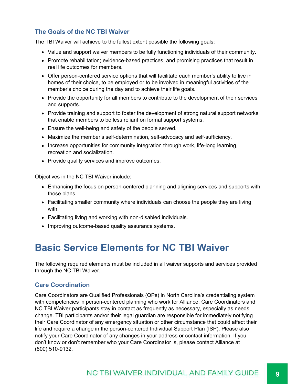#### **The Goals of the NC TBI Waiver**

The TBI Waiver will achieve to the fullest extent possible the following goals:

- Value and support waiver members to be fully functioning individuals of their community.
- Promote rehabilitation; evidence-based practices, and promising practices that result in real life outcomes for members.
- Offer person-centered service options that will facilitate each member's ability to live in homes of their choice, to be employed or to be involved in meaningful activities of the member's choice during the day and to achieve their life goals.
- Provide the opportunity for all members to contribute to the development of their services and supports.
- Provide training and support to foster the development of strong natural support networks that enable members to be less reliant on formal support systems.
- Ensure the well-being and safety of the people served.
- Maximize the member's self-determination, self-advocacy and self-sufficiency.
- Increase opportunities for community integration through work, life-long learning, recreation and socialization.
- Provide quality services and improve outcomes.

Objectives in the NC TBI Waiver include:

- Enhancing the focus on person-centered planning and aligning services and supports with those plans.
- Facilitating smaller community where individuals can choose the people they are living with.
- Facilitating living and working with non-disabled individuals.
- Improving outcome-based quality assurance systems.

### **Basic Service Elements for NC TBI Waiver**

The following required elements must be included in all waiver supports and services provided through the NC TBI Waiver.

#### **Care Coordination**

Care Coordinators are Qualified Professionals (QPs) in North Carolina's credentialing system with competencies in person-centered planning who work for Alliance. Care Coordinators and NC TBI Waiver participants stay in contact as frequently as necessary, especially as needs change. TBI participants and/or their legal guardian are responsible for immediately notifying their Care Coordinator of any emergency situation or other circumstance that could affect their life and require a change in the person-centered Individual Support Plan (ISP). Please also notify your Care Coordinator of any changes in your address or contact information. If you don't know or don't remember who your Care Coordinator is, please contact Alliance at (800) 510-9132.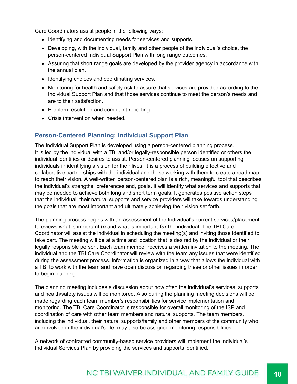Care Coordinators assist people in the following ways:

- Identifying and documenting needs for services and supports.
- Developing, with the individual, family and other people of the individual's choice, the person-centered Individual Support Plan with long range outcomes.
- Assuring that short range goals are developed by the provider agency in accordance with the annual plan.
- Identifying choices and coordinating services.
- Monitoring for health and safety risk to assure that services are provided according to the Individual Support Plan and that those services continue to meet the person's needs and are to their satisfaction.
- Problem resolution and complaint reporting.
- Crisis intervention when needed.

#### **Person-Centered Planning: Individual Support Plan**

The Individual Support Plan is developed using a person-centered planning process. It is led by the individual with a TBI and/or legally-responsible person identified or others the individual identifies or desires to assist. Person-centered planning focuses on supporting individuals in identifying a vision for their lives. It is a process of building effective and collaborative partnerships with the individual and those working with them to create a road map to reach their vision. A well-written person-centered plan is a rich, meaningful tool that describes the individual's strengths, preferences and, goals. It will identify what services and supports that may be needed to achieve both long and short term goals. It generates positive action steps that the individual, their natural supports and service providers will take towards understanding the goals that are most important and ultimately achieving their vision set forth.

The planning process begins with an assessment of the Individual's current services/placement. It reviews what is important *to* and what is important *for* the individual. The TBI Care Coordinator will assist the individual in scheduling the meeting(s) and inviting those identified to take part. The meeting will be at a time and location that is desired by the individual or their legally responsible person. Each team member receives a written invitation to the meeting. The individual and the TBI Care Coordinator will review with the team any issues that were identified during the assessment process. Information is organized in a way that allows the individual with a TBI to work with the team and have open discussion regarding these or other issues in order to begin planning.

The planning meeting includes a discussion about how often the individual's services, supports and health/safety issues will be monitored. Also during the planning meeting decisions will be made regarding each team member's responsibilities for service implementation and monitoring. The TBI Care Coordinator is responsible for overall monitoring of the ISP and coordination of care with other team members and natural supports. The team members, including the individual, their natural supports/family and other members of the community who are involved in the individual's life, may also be assigned monitoring responsibilities.

A network of contracted community-based service providers will implement the individual's Individual Services Plan by providing the services and supports identified.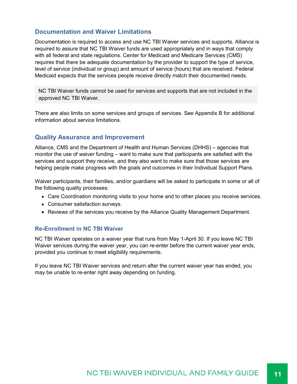#### **Documentation and Waiver Limitations**

Documentation is required to access and use NC TBI Waiver services and supports. Alliance is required to assure that NC TBI Waiver funds are used appropriately and in ways that comply with all federal and state regulations. Center for Medicaid and Medicare Services (CMS) requires that there be adequate documentation by the provider to support the type of service, level of service (individual or group) and amount of service (hours) that are received. Federal Medicaid expects that the services people receive directly match their documented needs.

NC TBI Waiver funds cannot be used for services and supports that are not included in the approved NC TBI Waiver.

There are also limits on some services and groups of services. See Appendix B for additional information about service limitations.

#### **Quality Assurance and Improvement**

Alliance, CMS and the Department of Health and Human Services (DHHS) – agencies that monitor the use of waiver funding – want to make sure that participants are satisfied with the services and support they receive, and they also want to make sure that those services are helping people make progress with the goals and outcomes in their Individual Support Plans.

Waiver participants, their families, and/or guardians will be asked to participate in some or all of the following quality processes:

- Care Coordination monitoring visits to your home and to other places you receive services.
- Consumer satisfaction surveys.
- Reviews of the services you receive by the Alliance Quality Management Department.

#### **Re-Enrollment in NC TBI Waiver**

NC TBI Waiver operates on a waiver year that runs from May 1-April 30. If you leave NC TBI Waiver services during the waiver year, you can re-enter before the current waiver year ends, provided you continue to meet eligibility requirements.

If you leave NC TBI Waiver services and return after the current waiver year has ended, you may be unable to re-enter right away depending on funding.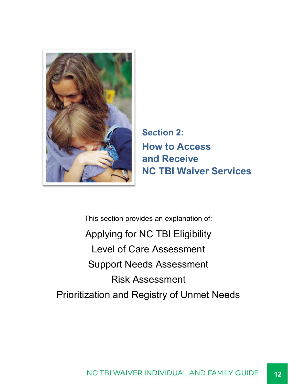![](_page_11_Picture_0.jpeg)

**Section 2: How to Access and Receive NC TBI Waiver Services**

This section provides an explanation of: Applying for NC TBI Eligibility Level of Care Assessment Support Needs Assessment Risk Assessment Prioritization and Registry of Unmet Needs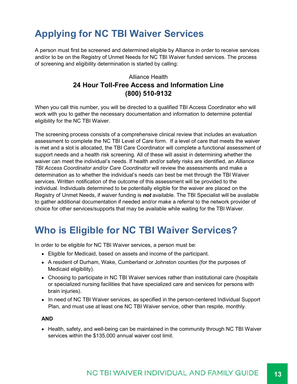### **Applying for NC TBI Waiver Services**

A person must first be screened and determined eligible by Alliance in order to receive services and/or to be on the Registry of Unmet Needs for NC TBI Waiver funded services. The process of screening and eligibility determination is started by calling:

#### Alliance Health **24 Hour Toll-Free Access and Information Line (800) 510-9132**

When you call this number, you will be directed to a qualified TBI Access Coordinator who will work with you to gather the necessary documentation and information to determine potential eligibility for the NC TBI Waiver.

The screening process consists of a comprehensive clinical review that includes an evaluation assessment to complete the NC TBI Level of Care form. If a level of care that meets the waiver is met and a slot is allocated, the TBI Care Coordinator will complete a functional assessment of support needs and a health risk screening. All of these will assist in determining whether the waiver can meet the individual's needs. If health and/or safety risks are identified, an *Alliance TBI Access Coordinator and/or Care Coordinator* will review the assessments and make a determination as to whether the individual's needs can best be met through the TBI Waiver services. Written notification of the outcome of this assessment will be provided to the individual. Individuals determined to be potentially eligible for the waiver are placed on the Registry of Unmet Needs, if waiver funding is *not* available. The TBI Specialist will be available to gather additional documentation if needed and/or make a referral to the network provider of choice for other services/supports that may be available while waiting for the TBI Waiver.

### **Who is Eligible for NC TBI Waiver Services?**

In order to be eligible for NC TBI Waiver services, a person must be:

- Eligible for Medicaid, based on assets and income of the participant.
- A resident of Durham, Wake, Cumberland or Johnston counties (for the purposes of Medicaid eligibility).
- Choosing to participate in NC TBI Waiver services rather than institutional care (hospitals or specialized nursing facilities that have specialized care and services for persons with brain injuries).
- In need of NC TBI Waiver services, as specified in the person-centered Individual Support Plan, and must use at least one NC TBI Waiver service, other than respite, monthly.

#### **AND**

• Health, safety, and well-being can be maintained in the community through NC TBI Waiver services within the \$135,000 annual waiver cost limit.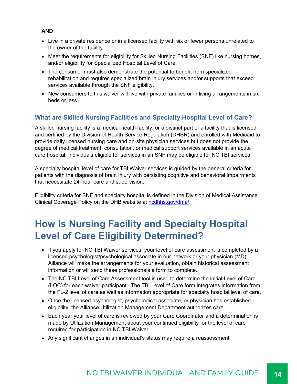#### **AND**

- Live in a private residence or in a licensed facility with six or fewer persons unrelated to the owner of the facility.
- Meet the requirements for eligibility for Skilled Nursing Facilities (SNF) like nursing homes, and/or eligibility for Specialized Hospital Level of Care.
- The consumer must also demonstrate the potential to benefit from specialized rehabilitation and requires specialized brain injury services and/or supports that exceed services available through the SNF eligibility.
- New consumers to this waiver will live with private families or in living arrangements in six beds or less.

#### **What are Skilled Nursing Facilities and Specialty Hospital Level of Care?**

A skilled nursing facility is a medical health facility, or a distinct part of a facility that is licensed and certified by the Division of Health Service Regulation (DHSR) and enrolled with Medicaid to provide daily licensed nursing care and on-site physician services but does not provide the degree of medical treatment, consultation, or medical support services available in an acute care hospital. Individuals eligible for services in an SNF may be eligible for NC TBI services

A specialty hospital level of care for TBI Waiver services is guided by the general criteria for patients with the diagnosis of brain injury with persisting cognitive and behavioral impairments that necessitate 24-hour care and supervision.

Eligibility criteria for SNF and specialty hospital is defined in the Division of Medical Assistance Clinical Coverage Policy on the DHB website at ncdhhs.gov/dma/.

### **How Is Nursing Facility and Specialty Hospital Level of Care Eligibility Determined?**

- If you apply for NC TBI Waiver services, your level of care assessment is completed by a licensed psychologist/psychological associate in our network or your physician (MD). Alliance will make the arrangements for your evaluation, obtain historical assessment information or will send these professionals a form to complete.
- The NC TBI Level of Care Assessment tool is used to determine the initial Level of Care (LOC) for each waiver participant. The TBI Level of Care form integrates information from the FL-2 level of care as well as information appropriate for specialty hospital level of care.
- Once the licensed psychologist, psychological associate, or physician has established eligibility, the Alliance Utilization Management Department authorizes care.
- Each year your level of care is reviewed by your Care Coordinator and a determination is made by Utilization Management about your continued eligibility for the level of care required for participation in NC TBI Waiver.
- Any significant changes in an individual's status may require a reassessment.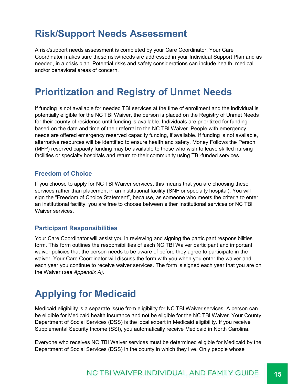### **Risk/Support Needs Assessment**

A risk/support needs assessment is completed by your Care Coordinator. Your Care Coordinator makes sure these risks/needs are addressed in your Individual Support Plan and as needed, in a crisis plan. Potential risks and safety considerations can include health, medical and/or behavioral areas of concern.

### **Prioritization and Registry of Unmet Needs**

If funding is not available for needed TBI services at the time of enrollment and the individual is potentially eligible for the NC TBI Waiver, the person is placed on the Registry of Unmet Needs for their county of residence until funding is available. Individuals are prioritized for funding based on the date and time of their referral to the NC TBI Waiver. People with emergency needs are offered emergency reserved capacity funding, if available. If funding is not available, alternative resources will be identified to ensure health and safety. Money Follows the Person (MFP) reserved capacity funding may be available to those who wish to leave skilled nursing facilities or specialty hospitals and return to their community using TBI-funded services.

#### **Freedom of Choice**

If you choose to apply for NC TBI Waiver services, this means that you are choosing these services rather than placement in an institutional facility (SNF or specialty hospital). You will sign the "Freedom of Choice Statement", because, as someone who meets the criteria to enter an institutional facility, you are free to choose between either Institutional services or NC TBI Waiver services.

#### **Participant Responsibilities**

Your Care Coordinator will assist you in reviewing and signing the participant responsibilities form. This form outlines the responsibilities of each NC TBI Waiver participant and important waiver policies that the person needs to be aware of before they agree to participate in the waiver. Your Care Coordinator will discuss the form with you when you enter the waiver and each year you continue to receive waiver services. The form is signed each year that you are on the Waiver (*see Appendix A).*

### **Applying for Medicaid**

Medicaid eligibility is a separate issue from eligibility for NC TBI Waiver services. A person can be eligible for Medicaid health insurance and not be eligible for the NC TBI Waiver. Your County Department of Social Services (DSS) is the local expert in Medicaid eligibility. If you receive Supplemental Security Income (SSI), you automatically receive Medicaid in North Carolina.

Everyone who receives NC TBI Waiver services must be determined eligible for Medicaid by the Department of Social Services (DSS) in the county in which they live. Only people whose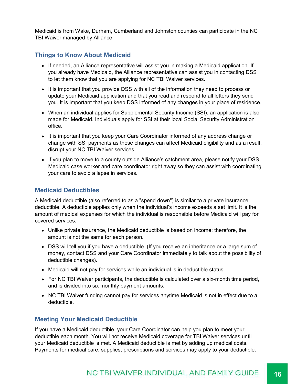Medicaid is from Wake, Durham, Cumberland and Johnston counties can participate in the NC TBI Waiver managed by Alliance.

#### **Things to Know About Medicaid**

- If needed, an Alliance representative will assist you in making a Medicaid application. If you already have Medicaid, the Alliance representative can assist you in contacting DSS to let them know that you are applying for NC TBI Waiver services.
- It is important that you provide DSS with all of the information they need to process or update your Medicaid application and that you read and respond to all letters they send you. It is important that you keep DSS informed of any changes in your place of residence.
- When an individual applies for Supplemental Security Income (SSI), an application is also made for Medicaid. Individuals apply for SSI at their local Social Security Administration office.
- It is important that you keep your Care Coordinator informed of any address change or change with SSI payments as these changes can affect Medicaid eligibility and as a result, disrupt your NC TBI Waiver services.
- If you plan to move to a county outside Alliance's catchment area, please notify your DSS Medicaid case worker and care coordinator right away so they can assist with coordinating your care to avoid a lapse in services.

#### **Medicaid Deductibles**

A Medicaid deductible (also referred to as a "spend down") is similar to a private insurance deductible. A deductible applies only when the individual's income exceeds a set limit. It is the amount of medical expenses for which the individual is responsible before Medicaid will pay for covered services.

- Unlike private insurance, the Medicaid deductible is based on income; therefore, the amount is not the same for each person.
- DSS will tell you if you have a deductible. (If you receive an inheritance or a large sum of money, contact DSS and your Care Coordinator immediately to talk about the possibility of deductible changes).
- Medicaid will not pay for services while an individual is in deductible status.
- For NC TBI Waiver participants, the deductible is calculated over a six-month time period, and is divided into six monthly payment amounts.
- NC TBI Waiver funding cannot pay for services anytime Medicaid is not in effect due to a deductible.

#### **Meeting Your Medicaid Deductible**

If you have a Medicaid deductible, your Care Coordinator can help you plan to meet your deductible each month. You will not receive Medicaid coverage for TBI Waiver services until your Medicaid deductible is met. A Medicaid deductible is met by adding up medical costs. Payments for medical care, supplies, prescriptions and services may apply to your deductible.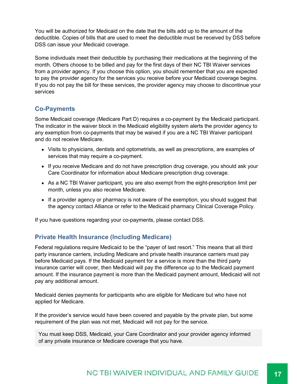You will be authorized for Medicaid on the date that the bills add up to the amount of the deductible. Copies of bills that are used to meet the deductible must be received by DSS before DSS can issue your Medicaid coverage.

Some individuals meet their deductible by purchasing their medications at the beginning of the month. Others choose to be billed and pay for the first days of their NC TBI Waiver services from a provider agency. If you choose this option, you should remember that you are expected to pay the provider agency for the services you receive before your Medicaid coverage begins. If you do not pay the bill for these services, the provider agency may choose to discontinue your services

#### **Co-Payments**

Some Medicaid coverage (Medicare Part D) requires a co-payment by the Medicaid participant. The indicator in the waiver block in the Medicaid eligibility system alerts the provider agency to any exemption from co-payments that may be waived if you are a NC TBI Waiver participant and do not receive Medicare.

- Visits to physicians, dentists and optometrists, as well as prescriptions, are examples of services that may require a co-payment.
- If you receive Medicare and do not have prescription drug coverage, you should ask your Care Coordinator for information about Medicare prescription drug coverage.
- As a NC TBI Waiver participant, you are also exempt from the eight-prescription limit per month, unless you also receive Medicare.
- If a provider agency or pharmacy is not aware of the exemption, you should suggest that the agency contact Alliance or refer to the Medicaid pharmacy Clinical Coverage Policy.

If you have questions regarding your co-payments, please contact DSS.

#### **Private Health Insurance (Including Medicare)**

Federal regulations require Medicaid to be the "payer of last resort." This means that all third party insurance carriers, including Medicare and private health insurance carriers must pay before Medicaid pays. If the Medicaid payment for a service is more than the third party insurance carrier will cover, then Medicaid will pay the difference up to the Medicaid payment amount. If the insurance payment is more than the Medicaid payment amount, Medicaid will not pay any additional amount.

Medicaid denies payments for participants who are eligible for Medicare but who have not applied for Medicare.

If the provider's service would have been covered and payable by the private plan, but some requirement of the plan was not met, Medicaid will not pay for the service.

You must keep DSS, Medicaid, your Care Coordinator and your provider agency informed of any private insurance or Medicare coverage that you have.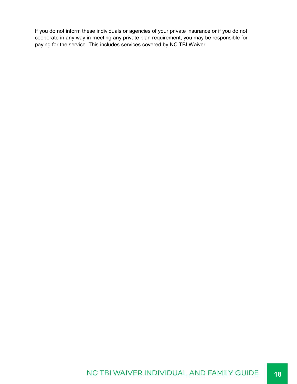If you do not inform these individuals or agencies of your private insurance or if you do not cooperate in any way in meeting any private plan requirement, you may be responsible for paying for the service. This includes services covered by NC TBI Waiver.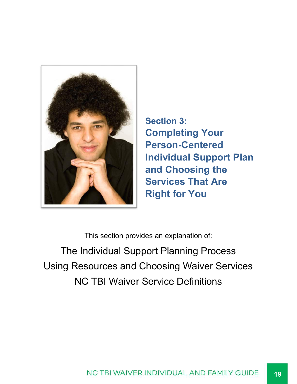![](_page_18_Picture_0.jpeg)

**Section 3: Completing Your Person-Centered Individual Support Plan and Choosing the Services That Are Right for You**

This section provides an explanation of:

The Individual Support Planning Process Using Resources and Choosing Waiver Services NC TBI Waiver Service Definitions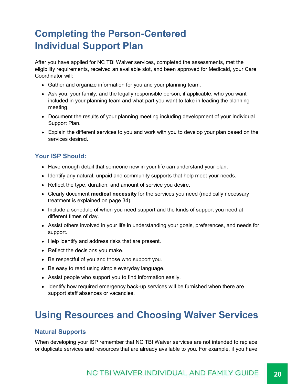### **Completing the Person-Centered Individual Support Plan**

After you have applied for NC TBI Waiver services, completed the assessments, met the eligibility requirements, received an available slot, and been approved for Medicaid, your Care Coordinator will:

- Gather and organize information for you and your planning team.
- Ask you, your family, and the legally responsible person, if applicable, who you want included in your planning team and what part you want to take in leading the planning meeting.
- Document the results of your planning meeting including development of your Individual Support Plan.
- Explain the different services to you and work with you to develop your plan based on the services desired.

#### **Your ISP Should:**

- Have enough detail that someone new in your life can understand your plan.
- Identify any natural, unpaid and community supports that help meet your needs.
- Reflect the type, duration, and amount of service you desire.
- Clearly document **medical necessity** for the services you need (medically necessary treatment is explained on page 34).
- Include a schedule of when you need support and the kinds of support you need at different times of day.
- Assist others involved in your life in understanding your goals, preferences, and needs for support.
- Help identify and address risks that are present.
- Reflect the decisions you make.
- Be respectful of you and those who support you.
- Be easy to read using simple everyday language.
- Assist people who support you to find information easily.
- Identify how required emergency back-up services will be furnished when there are support staff absences or vacancies.

### **Using Resources and Choosing Waiver Services**

#### **Natural Supports**

When developing your ISP remember that NC TBI Waiver services are not intended to replace or duplicate services and resources that are already available to you. For example, if you have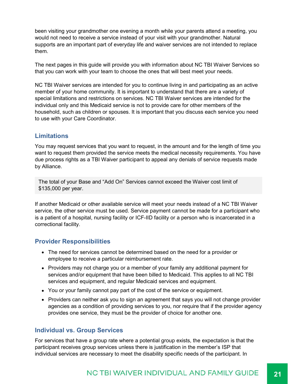been visiting your grandmother one evening a month while your parents attend a meeting, you would not need to receive a service instead of your visit with your grandmother. Natural supports are an important part of everyday life and waiver services are not intended to replace them.

The next pages in this guide will provide you with information about NC TBI Waiver Services so that you can work with your team to choose the ones that will best meet your needs.

NC TBI Waiver services are intended for you to continue living in and participating as an active member of your home community. It is important to understand that there are a variety of special limitations and restrictions on services. NC TBI Waiver services are intended for the individual only and this Medicaid service is not to provide care for other members of the household, such as children or spouses. It is important that you discuss each service you need to use with your Care Coordinator.

#### **Limitations**

You may request services that you want to request, in the amount and for the length of time you want to request them provided the service meets the medical necessity requirements. You have due process rights as a TBI Waiver participant to appeal any denials of service requests made by Alliance.

The total of your Base and "Add On" Services cannot exceed the Waiver cost limit of \$135,000 per year.

If another Medicaid or other available service will meet your needs instead of a NC TBI Waiver service, the other service must be used. Service payment cannot be made for a participant who is a patient of a hospital, nursing facility or ICF-IID facility or a person who is incarcerated in a correctional facility.

#### **Provider Responsibilities**

- The need for services cannot be determined based on the need for a provider or employee to receive a particular reimbursement rate.
- Providers may not charge you or a member of your family any additional payment for services and/or equipment that have been billed to Medicaid. This applies to all NC TBI services and equipment, and regular Medicaid services and equipment.
- You or your family cannot pay part of the cost of the service or equipment.
- Providers can neither ask you to sign an agreement that says you will not change provider agencies as a condition of providing services to you, nor require that if the provider agency provides one service, they must be the provider of choice for another one.

#### **Individual vs. Group Services**

For services that have a group rate where a potential group exists, the expectation is that the participant receives group services unless there is justification in the member's ISP that individual services are necessary to meet the disability specific needs of the participant. In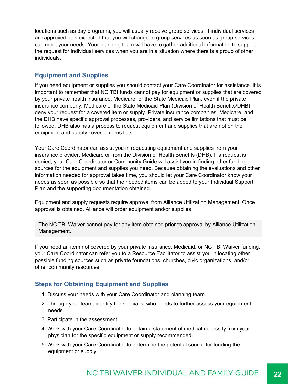locations such as day programs, you will usually receive group services. If individual services are approved, it is expected that you will change to group services as soon as group services can meet your needs. Your planning team will have to gather additional information to support the request for individual services when you are in a situation where there is a group of other individuals.

#### **Equipment and Supplies**

If you need equipment or supplies you should contact your Care Coordinator for assistance. It is important to remember that NC TBI funds cannot pay for equipment or supplies that are covered by your private health insurance, Medicare, or the State Medicaid Plan, even if the private insurance company, Medicare or the State Medicaid Plan (Division of Health Benefits/DHB) deny your request for a covered item or supply. Private insurance companies, Medicare, and the DHB have specific approval processes, providers, and service limitations that must be followed. DHB also has a process to request equipment and supplies that are not on the equipment and supply covered items lists.

Your Care Coordinator can assist you in requesting equipment and supplies from your insurance provider, Medicare or from the Division of Health Benefits (DHB). If a request is denied, your Care Coordinator or Community Guide will assist you in finding other funding sources for the equipment and supplies you need. Because obtaining the evaluations and other information needed for approval takes time, you should let your Care Coordinator know your needs as soon as possible so that the needed items can be added to your Individual Support Plan and the supporting documentation obtained.

Equipment and supply requests require approval from Alliance Utilization Management. Once approval is obtained, Alliance will order equipment and/or supplies.

The NC TBI Waiver cannot pay for any item obtained prior to approval by Alliance Utilization Management.

If you need an item not covered by your private insurance, Medicaid, or NC TBI Waiver funding, your Care Coordinator can refer you to a Resource Facilitator to assist you in locating other possible funding sources such as private foundations, churches, civic organizations, and/or other community resources.

#### **Steps for Obtaining Equipment and Supplies**

- 1. Discuss your needs with your Care Coordinator and planning team.
- 2. Through your team, identify the specialist who needs to further assess your equipment needs.
- 3. Participate in the assessment.
- 4. Work with your Care Coordinator to obtain a statement of medical necessity from your physician for the specific equipment or supply recommended.
- 5. Work with your Care Coordinator to determine the potential source for funding the equipment or supply.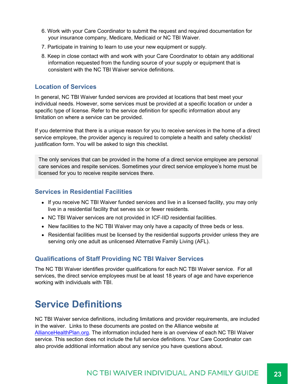- 6. Work with your Care Coordinator to submit the request and required documentation for your insurance company, Medicare, Medicaid or NC TBI Waiver.
- 7. Participate in training to learn to use your new equipment or supply.
- 8. Keep in close contact with and work with your Care Coordinator to obtain any additional information requested from the funding source of your supply or equipment that is consistent with the NC TBI Waiver service definitions.

#### **Location of Services**

In general, NC TBI Waiver funded services are provided at locations that best meet your individual needs. However, some services must be provided at a specific location or under a specific type of license. Refer to the service definition for specific information about any limitation on where a service can be provided.

If you determine that there is a unique reason for you to receive services in the home of a direct service employee, the provider agency is required to complete a health and safety checklist/ justification form. You will be asked to sign this checklist.

The only services that can be provided in the home of a direct service employee are personal care services and respite services. Sometimes your direct service employee's home must be licensed for you to receive respite services there.

#### **Services in Residential Facilities**

- If you receive NC TBI Waiver funded services and live in a licensed facility, you may only live in a residential facility that serves six or fewer residents.
- NC TBI Waiver services are not provided in ICF-IID residential facilities.
- New facilities to the NC TBI Waiver may only have a capacity of three beds or less.
- Residential facilities must be licensed by the residential supports provider unless they are serving only one adult as unlicensed Alternative Family Living (AFL).

#### **Qualifications of Staff Providing NC TBI Waiver Services**

The NC TBI Waiver identifies provider qualifications for each NC TBI Waiver service. For all services, the direct service employees must be at least 18 years of age and have experience working with individuals with TBI.

### **Service Definitions**

NC TBI Waiver service definitions, including limitations and provider requirements, are included in the waiver. Links to these documents are posted on the Alliance website at AllianceHealthPlan.org. The information included here is an overview of each NC TBI Waiver service. This section does not include the full service definitions. Your Care Coordinator can also provide additional information about any service you have questions about.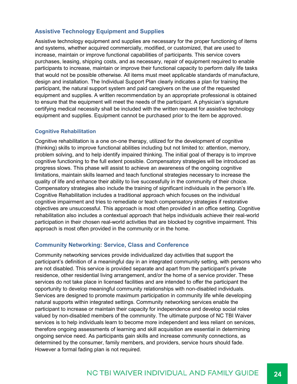#### **Assistive Technology Equipment and Supplies**

Assistive technology equipment and supplies are necessary for the proper functioning of items and systems, whether acquired commercially, modified, or customized, that are used to increase, maintain or improve functional capabilities of participants. This service covers purchases, leasing, shipping costs, and as necessary, repair of equipment required to enable participants to increase, maintain or improve their functional capacity to perform daily life tasks that would not be possible otherwise. All items must meet applicable standards of manufacture, design and installation. The Individual Support Plan clearly indicates a plan for training the participant, the natural support system and paid caregivers on the use of the requested equipment and supplies. A written recommendation by an appropriate professional is obtained to ensure that the equipment will meet the needs of the participant. A physician's signature certifying medical necessity shall be included with the written request for assistive technology equipment and supplies. Equipment cannot be purchased prior to the item be approved.

#### **Cognitive Rehabilitation**

Cognitive rehabilitation is a one on-one therapy, utilized for the development of cognitive (thinking) skills to improve functional abilities including but not limited to: attention, memory, problem solving, and to help identify impaired thinking. The initial goal of therapy is to improve cognitive functioning to the full extent possible. Compensatory strategies will be introduced as progress slows. This phase will assist to achieve an awareness of the ongoing cognitive limitations, maintain skills learned and teach functional strategies necessary to increase the quality of life and enhance their ability to live successfully in the community of their choice. Compensatory strategies also include the training of significant individuals in the person's life. Cognitive Rehabilitation includes a traditional approach which focuses on the individual cognitive impairment and tries to remediate or teach compensatory strategies if restorative objectives are unsuccessful. This approach is most often provided in an office setting. Cognitive rehabilitation also includes a contextual approach that helps individuals achieve their real-world participation in their chosen real-world activities that are blocked by cognitive impairment. This approach is most often provided in the community or in the home.

#### **Community Networking: Service, Class and Conference**

Community networking services provide individualized day activities that support the participant's definition of a meaningful day in an integrated community setting, with persons who are not disabled. This service is provided separate and apart from the participant's private residence, other residential living arrangement, and/or the home of a service provider. These services do not take place in licensed facilities and are intended to offer the participant the opportunity to develop meaningful community relationships with non-disabled individuals. Services are designed to promote maximum participation in community life while developing natural supports within integrated settings. Community networking services enable the participant to increase or maintain their capacity for independence and develop social roles valued by non-disabled members of the community. The ultimate purpose of NC TBI Waiver services is to help individuals learn to become more independent and less reliant on services, therefore ongoing assessments of learning and skill acquisition are essential in determining ongoing service need. As participants gain skills and increase community connections, as determined by the consumer, family members, and providers, service hours should fade. However a formal fading plan is not required.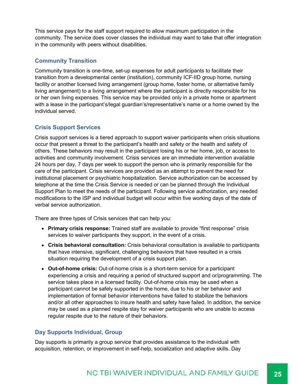This service pays for the staff support required to allow maximum participation in the community. The service does cover classes the individual may want to take that offer integration in the community with peers without disabilities.

#### **Community Transition**

Community transition is one-time, set-up expenses for adult participants to facilitate their transition from a developmental center (institution), community ICF-IID group home, nursing facility or another licensed living arrangement (group home, foster home, or alternative family living arrangement) to a living arrangement where the participant is directly responsible for his or her own living expenses. This service may be provided only in a private home or apartment with a lease in the participant's/legal guardian's/representative's name or a home owned by the individual served.

#### **Crisis Support Services**

Crisis support services is a tiered approach to support waiver participants when crisis situations occur that present a threat to the participant's health and safety or the health and safety of others. These behaviors may result in the participant losing his or her home, job, or access to activities and community involvement. Crisis services are an immediate intervention available 24 hours per day, 7 days per week to support the person who is primarily responsible for the care of the participant. Crisis services are provided as an attempt to prevent the need for institutional placement or psychiatric hospitalization. Service authorization can be accessed by telephone at the time the Crisis Service is needed or can be planned through the Individual Support Plan to meet the needs of the participant. Following service authorization, any needed modifications to the ISP and individual budget will occur within five working days of the date of verbal service authorization.

There are three types of Crisis services that can help you:

- **Primary crisis response:** Trained staff are available to provide "first response" crisis services to waiver participants they support, in the event of a crisis.
- **Crisis behavioral consultation:** Crisis behavioral consultation is available to participants that have intensive, significant, challenging behaviors that have resulted in a crisis situation requiring the development of a crisis support plan.
- **Out-of-home crisis:** Out-of-home crisis is a short-term service for a participant experiencing a crisis and requiring a period of structured support and or/programming. The service takes place in a licensed facility. Out-of-home crisis may be used when a participant cannot be safely supported in the home, due to his or her behavior and implementation of formal behavior interventions have failed to stabilize the behaviors and/or all other approaches to insure health and safety have failed. In addition, the service may be used as a planned respite stay for waiver participants who are unable to access regular respite due to the nature of their behaviors.

#### **Day Supports Individual, Group**

Day supports is primarily a group service that provides assistance to the individual with acquisition, retention, or improvement in self-help, socialization and adaptive skills. Day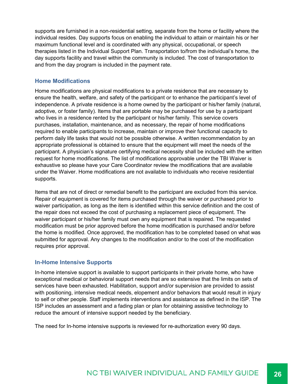supports are furnished in a non-residential setting, separate from the home or facility where the individual resides. Day supports focus on enabling the individual to attain or maintain his or her maximum functional level and is coordinated with any physical, occupational, or speech therapies listed in the Individual Support Plan. Transportation to/from the individual's home, the day supports facility and travel within the community is included. The cost of transportation to and from the day program is included in the payment rate.

#### **Home Modifications**

Home modifications are physical modifications to a private residence that are necessary to ensure the health, welfare, and safety of the participant or to enhance the participant's level of independence. A private residence is a home owned by the participant or his/her family (natural, adoptive, or foster family). Items that are portable may be purchased for use by a participant who lives in a residence rented by the participant or his/her family. This service covers purchases, installation, maintenance, and as necessary, the repair of home modifications required to enable participants to increase, maintain or improve their functional capacity to perform daily life tasks that would not be possible otherwise. A written recommendation by an appropriate professional is obtained to ensure that the equipment will meet the needs of the participant. A physician's signature certifying medical necessity shall be included with the written request for home modifications. The list of modifications approvable under the TBI Waiver is exhaustive so please have your Care Coordinator review the modifications that are available under the Waiver. Home modifications are not available to individuals who receive residential supports.

Items that are not of direct or remedial benefit to the participant are excluded from this service. Repair of equipment is covered for items purchased through the waiver or purchased prior to waiver participation, as long as the item is identified within this service definition and the cost of the repair does not exceed the cost of purchasing a replacement piece of equipment. The waiver participant or his/her family must own any equipment that is repaired. The requested modification must be prior approved before the home modification is purchased and/or before the home is modified. Once approved, the modification has to be completed based on what was submitted for approval. Any changes to the modification and/or to the cost of the modification requires prior approval.

#### **In-Home Intensive Supports**

In-home intensive support is available to support participants in their private home, who have exceptional medical or behavioral support needs that are so extensive that the limits on sets of services have been exhausted. Habilitation, support and/or supervision are provided to assist with positioning, intensive medical needs, elopement and/or behaviors that would result in injury to self or other people. Staff implements interventions and assistance as defined in the ISP. The ISP includes an assessment and a fading plan or plan for obtaining assistive technology to reduce the amount of intensive support needed by the beneficiary.

The need for In-home intensive supports is reviewed for re-authorization every 90 days.

#### NC TBI WAIVER INDIVIDUAL AND FAMILY GUIDE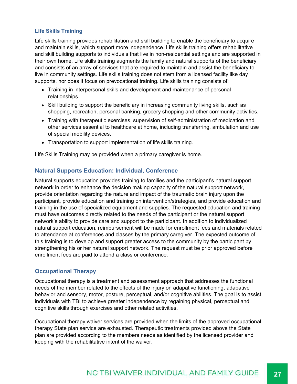#### **Life Skills Training**

Life skills training provides rehabilitation and skill building to enable the beneficiary to acquire and maintain skills, which support more independence. Life skills training offers rehabilitative and skill building supports to individuals that live in non-residential settings and are supported in their own home. Life skills training augments the family and natural supports of the beneficiary and consists of an array of services that are required to maintain and assist the beneficiary to live in community settings. Life skills training does not stem from a licensed facility like day supports, nor does it focus on prevocational training. Life skills training consists of:

- Training in interpersonal skills and development and maintenance of personal relationships.
- Skill building to support the beneficiary in increasing community living skills, such as shopping, recreation, personal banking, grocery shopping and other community activities.
- Training with therapeutic exercises, supervision of self-administration of medication and other services essential to healthcare at home, including transferring, ambulation and use of special mobility devices.
- Transportation to support implementation of life skills training.

Life Skills Training may be provided when a primary caregiver is home.

#### **Natural Supports Education: Individual, Conference**

Natural supports education provides training to families and the participant's natural support network in order to enhance the decision making capacity of the natural support network, provide orientation regarding the nature and impact of the traumatic brain injury upon the participant, provide education and training on intervention/strategies, and provide education and training in the use of specialized equipment and supplies. The requested education and training must have outcomes directly related to the needs of the participant or the natural support network's ability to provide care and support to the participant. In addition to individualized natural support education, reimbursement will be made for enrollment fees and materials related to attendance at conferences and classes by the primary caregiver. The expected outcome of this training is to develop and support greater access to the community by the participant by strengthening his or her natural support network. The request must be prior approved before enrollment fees are paid to attend a class or conference.

#### **Occupational Therapy**

Occupational therapy is a treatment and assessment approach that addresses the functional needs of the member related to the effects of the injury on adapative functioning, adapative behavior and sensory, motor, posture, perceptual, and/or cognitive abilities. The goal is to assist individuals with TBI to achieve greater independence by regaining physical, perceptual and cognitive skills through exercises and other related activities.

Occupational therapy waiver services are provided when the limits of the approved occupational therapy State plan service are exhausted. Therapeutic treatments provided above the State plan are provided according to the members needs as identified by the licensed provider and keeping with the rehabilitative intent of the waiver.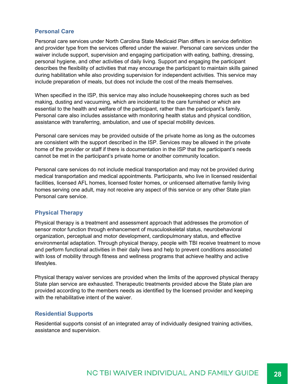#### **Personal Care**

Personal care services under North Carolina State Medicaid Plan differs in service definition and provider type from the services offered under the waiver. Personal care services under the waiver include support, supervision and engaging participation with eating, bathing, dressing, personal hygiene, and other activities of daily living. Support and engaging the participant describes the flexibility of activities that may encourage the participant to maintain skills gained during habilitation while also providing supervision for independent activities. This service may include preparation of meals, but does not include the cost of the meals themselves.

When specified in the ISP, this service may also include housekeeping chores such as bed making, dusting and vacuuming, which are incidental to the care furnished or which are essential to the health and welfare of the participant, rather than the participant's family. Personal care also includes assistance with monitoring health status and physical condition, assistance with transferring, ambulation, and use of special mobility devices.

Personal care services may be provided outside of the private home as long as the outcomes are consistent with the support described in the ISP. Services may be allowed in the private home of the provider or staff if there is documentation in the ISP that the participant's needs cannot be met in the participant's private home or another community location.

Personal care services do not include medical transportation and may not be provided during medical transportation and medical appointments. Participants, who live in licensed residential facilities, licensed AFL homes, licensed foster homes, or unlicensed alternative family living homes serving one adult, may not receive any aspect of this service or any other State plan Personal care service.

#### **Physical Therapy**

Physical therapy is a treatment and assessment approach that addresses the promotion of sensor motor function through enhancement of musculoskeletal status, neurobehavioral organization, perceptual and motor development, cardiopulmonary status, and effective environmental adaptation. Through physical therapy, people with TBI receive treatment to move and perform functional activities in their daily lives and help to prevent conditions associated with loss of mobility through fitness and wellness programs that achieve healthy and active lifestyles.

Physical therapy waiver services are provided when the limits of the approved physical therapy State plan service are exhausted. Therapeutic treatments provided above the State plan are provided according to the members needs as identified by the licensed provider and keeping with the rehabilitative intent of the waiver.

#### **Residential Supports**

Residential supports consist of an integrated array of individually designed training activities, assistance and supervision.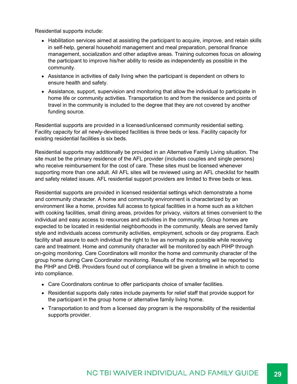Residential supports include:

- Habilitation services aimed at assisting the participant to acquire, improve, and retain skills in self-help, general household management and meal preparation, personal finance management, socialization and other adaptive areas. Training outcomes focus on allowing the participant to improve his/her ability to reside as independently as possible in the community.
- Assistance in activities of daily living when the participant is dependent on others to ensure health and safety.
- Assistance, support, supervision and monitoring that allow the individual to participate in home life or community activities. Transportation to and from the residence and points of travel in the community is included to the degree that they are not covered by another funding source.

Residential supports are provided in a licensed/unlicensed community residential setting. Facility capacity for all newly-developed facilities is three beds or less. Facility capacity for existing residential facilities is six beds.

Residential supports may additionally be provided in an Alternative Family Living situation. The site must be the primary residence of the AFL provider (includes couples and single persons) who receive reimbursement for the cost of care. These sites must be licensed whenever supporting more than one adult. All AFL sites will be reviewed using an AFL checklist for health and safety related issues. AFL residential support providers are limited to three beds or less.

Residential supports are provided in licensed residential settings which demonstrate a home and community character. A home and community environment is characterized by an environment like a home, provides full access to typical facilities in a home such as a kitchen with cooking facilities, small dining areas, provides for privacy, visitors at times convenient to the individual and easy access to resources and activities in the community. Group homes are expected to be located in residential neighborhoods in the community. Meals are served family style and individuals access community activities, employment, schools or day programs. Each facility shall assure to each individual the right to live as normally as possible while receiving care and treatment. Home and community character will be monitored by each PIHP through on-going monitoring. Care Coordinators will monitor the home and community character of the group home during Care Coordinator monitoring. Results of the monitoring will be reported to the PIHP and DHB. Providers found out of compliance will be given a timeline in which to come into compliance.

- Care Coordinators continue to offer participants choice of smaller facilities.
- Residential supports daily rates include payments for relief staff that provide support for the participant in the group home or alternative family living home.
- Transportation to and from a licensed day program is the responsibility of the residential supports provider.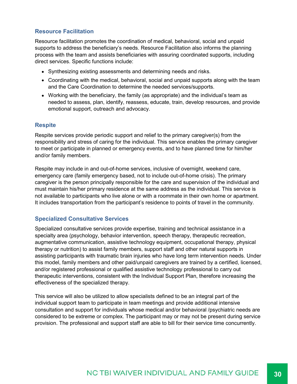#### **Resource Facilitation**

Resource facilitation promotes the coordination of medical, behavioral, social and unpaid supports to address the beneficiary's needs. Resource Facilitation also informs the planning process with the team and assists beneficiaries with assuring coordinated supports, including direct services. Specific functions include:

- Synthesizing existing assessments and determining needs and risks.
- Coordinating with the medical, behavioral, social and unpaid supports along with the team and the Care Coordination to determine the needed services/supports.
- Working with the beneficiary, the family (as appropriate) and the individual's team as needed to assess, plan, identify, reassess, educate, train, develop resources, and provide emotional support, outreach and advocacy.

#### **Respite**

Respite services provide periodic support and relief to the primary caregiver(s) from the responsibility and stress of caring for the individual. This service enables the primary caregiver to meet or participate in planned or emergency events, and to have planned time for him/her and/or family members.

Respite may include in and out-of-home services, inclusive of overnight, weekend care, emergency care (family emergency based, not to include out-of-home crisis). The primary caregiver is the person principally responsible for the care and supervision of the individual and must maintain his/her primary residence at the same address as the individual. This service is not available to participants who live alone or with a roommate in their own home or apartment. It includes transportation from the participant's residence to points of travel in the community.

#### **Specialized Consultative Services**

Specialized consultative services provide expertise, training and technical assistance in a specialty area (psychology, behavior intervention, speech therapy, therapeutic recreation, augmentative communication, assistive technology equipment, occupational therapy, physical therapy or nutrition) to assist family members, support staff and other natural supports in assisting participants with traumatic brain injuries who have long term intervention needs. Under this model, family members and other paid/unpaid caregivers are trained by a certified, licensed, and/or registered professional or qualified assistive technology professional to carry out therapeutic interventions, consistent with the Individual Support Plan, therefore increasing the effectiveness of the specialized therapy.

This service will also be utilized to allow specialists defined to be an integral part of the individual support team to participate in team meetings and provide additional intensive consultation and support for individuals whose medical and/or behavioral /psychiatric needs are considered to be extreme or complex. The participant may or may not be present during service provision. The professional and support staff are able to bill for their service time concurrently.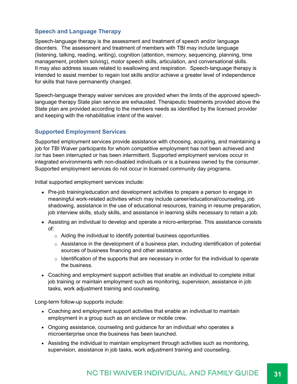#### **Speech and Language Therapy**

Speech-language therapy is the assessment and treatment of speech and/or language disorders. The assessment and treatment of members with TBI may include language (listening, talking, reading, writing), cognition (attention, memory, sequencing, planning, time management, problem solving), motor speech skills, articulation, and conversational skills. It may also address issues related to swallowing and respiration. Speech-language therapy is intended to assist member to regain lost skills and/or achieve a greater level of independence for skills that have permanently changed.

Speech-language therapy waiver services are provided when the limits of the approved speechlanguage therapy State plan service are exhausted. Therapeutic treatments provided above the State plan are provided according to the members needs as identified by the licensed provider and keeping with the rehabilitative intent of the waiver.

#### **Supported Employment Services**

Supported employment services provide assistance with choosing, acquiring, and maintaining a job for TBI Waiver participants for whom competitive employment has not been achieved and /or has been interrupted or has been intermittent. Supported employment services occur in integrated environments with non-disabled individuals or is a business owned by the consumer. Supported employment services do not occur in licensed community day programs.

Initial supported employment services include:

- Pre-job training/education and development activities to prepare a person to engage in meaningful work-related activities which may include career/educational/counseling, job shadowing, assistance in the use of educational resources, training in resume preparation, job interview skills, study skills, and assistance in learning skills necessary to retain a job.
- Assisting an individual to develop and operate a micro-enterprise. This assistance consists of:
	- $\circ$  Aiding the individual to identify potential business opportunities.
	- $\circ$  Assistance in the development of a business plan, including identification of potential sources of business financing and other assistance.
	- $\circ$  Identification of the supports that are necessary in order for the individual to operate the business.
- Coaching and employment support activities that enable an individual to complete initial job training or maintain employment such as monitoring, supervision, assistance in job tasks, work adjustment training and counseling.

Long-term follow-up supports include:

- Coaching and employment support activities that enable an individual to maintain employment in a group such as an enclave or mobile crew.
- Ongoing assistance, counseling and guidance for an individual who operates a microenterprise once the business has been launched.
- Assisting the individual to maintain employment through activities such as monitoring, supervision, assistance in job tasks, work adjustment training and counseling.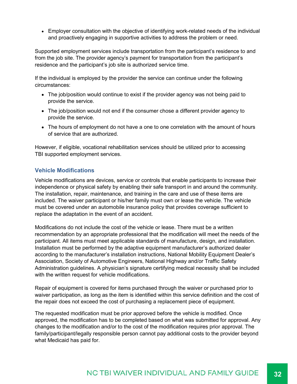Employer consultation with the objective of identifying work-related needs of the individual and proactively engaging in supportive activities to address the problem or need.

Supported employment services include transportation from the participant's residence to and from the job site. The provider agency's payment for transportation from the participant's residence and the participant's job site is authorized service time.

If the individual is employed by the provider the service can continue under the following circumstances:

- The job/position would continue to exist if the provider agency was not being paid to provide the service.
- The job/position would not end if the consumer chose a different provider agency to provide the service.
- The hours of employment do not have a one to one correlation with the amount of hours of service that are authorized.

However, if eligible, vocational rehabilitation services should be utilized prior to accessing TBI supported employment services.

#### **Vehicle Modifications**

Vehicle modifications are devices, service or controls that enable participants to increase their independence or physical safety by enabling their safe transport in and around the community. The installation, repair, maintenance, and training in the care and use of these items are included. The waiver participant or his/her family must own or lease the vehicle. The vehicle must be covered under an automobile insurance policy that provides coverage sufficient to replace the adaptation in the event of an accident.

Modifications do not include the cost of the vehicle or lease. There must be a written recommendation by an appropriate professional that the modification will meet the needs of the participant. All items must meet applicable standards of manufacture, design, and installation. Installation must be performed by the adaptive equipment manufacturer's authorized dealer according to the manufacturer's installation instructions, National Mobility Equipment Dealer's Association, Society of Automotive Engineers, National Highway and/or Traffic Safety Administration guidelines. A physician's signature certifying medical necessity shall be included with the written request for vehicle modifications.

Repair of equipment is covered for items purchased through the waiver or purchased prior to waiver participation, as long as the item is identified within this service definition and the cost of the repair does not exceed the cost of purchasing a replacement piece of equipment.

The requested modification must be prior approved before the vehicle is modified. Once approved, the modification has to be completed based on what was submitted for approval. Any changes to the modification and/or to the cost of the modification requires prior approval. The family/participant/legally responsible person cannot pay additional costs to the provider beyond what Medicaid has paid for.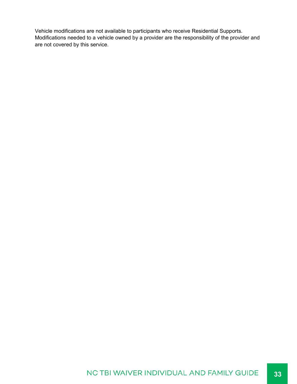Vehicle modifications are not available to participants who receive Residential Supports. Modifications needed to a vehicle owned by a provider are the responsibility of the provider and are not covered by this service.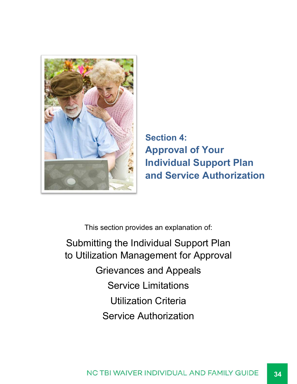![](_page_33_Picture_0.jpeg)

**Section 4: Approval of Your Individual Support Plan and Service Authorization**

This section provides an explanation of:

Submitting the Individual Support Plan to Utilization Management for Approval Grievances and Appeals Service Limitations Utilization Criteria Service Authorization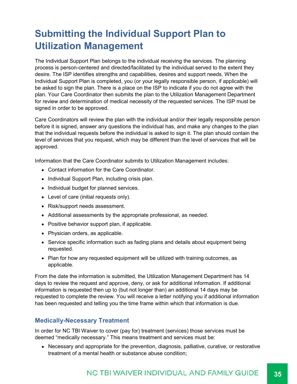### **Submitting the Individual Support Plan to Utilization Management**

The Individual Support Plan belongs to the individual receiving the services. The planning process is person-centered and directed/facilitated by the individual served to the extent they desire. The ISP identifies strengths and capabilities, desires and support needs. When the Individual Support Plan is completed, you (or your legally responsible person, if applicable) will be asked to sign the plan. There is a place on the ISP to indicate if you do not agree with the plan. Your Care Coordinator then submits the plan to the Utilization Management Department for review and determination of medical necessity of the requested services. The ISP must be signed in order to be approved.

Care Coordinators will review the plan with the individual and/or their legally responsible person before it is signed, answer any questions the individual has, and make any changes to the plan that the individual requests before the individual is asked to sign it. The plan should contain the level of services that you request, which may be different than the level of services that will be approved.

Information that the Care Coordinator submits to Utilization Management includes:

- Contact information for the Care Coordinator.
- Individual Support Plan, including crisis plan.
- Individual budget for planned services.
- Level of care (initial requests only).
- Risk/support needs assessment.
- Additional assessments by the appropriate professional, as needed.
- Positive behavior support plan, if applicable.
- Physician orders, as applicable.
- Service specific information such as fading plans and details about equipment being requested.
- Plan for how any requested equipment will be utilized with training outcomes, as applicable.

From the date the information is submitted, the Utilization Management Department has 14 days to review the request and approve, deny, or ask for additional information. If additional information is requested then up to (but not longer than) an additional 14 days may be requested to complete the review. You will receive a letter notifying you if additional information has been requested and telling you the time frame within which that information is due.

#### **Medically-Necessary Treatment**

In order for NC TBI Waiver to cover (pay for) treatment (services) those services must be deemed "medically necessary." This means treatment and services must be:

Necessary and appropriate for the prevention, diagnosis, palliative, curative, or restorative treatment of a mental health or substance abuse condition;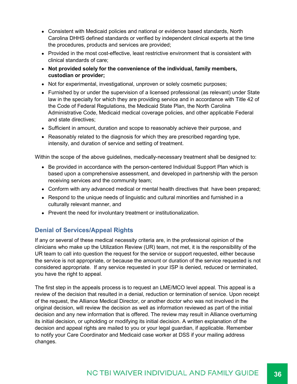- Consistent with Medicaid policies and national or evidence based standards, North Carolina DHHS defined standards or verified by independent clinical experts at the time the procedures, products and services are provided;
- Provided in the most cost-effective, least restrictive environment that is consistent with clinical standards of care;
- **Not provided solely for the convenience of the individual, family members, custodian or provider;**
- Not for experimental, investigational, unproven or solely cosmetic purposes;
- Furnished by or under the supervision of a licensed professional (as relevant) under State law in the specialty for which they are providing service and in accordance with Title 42 of the Code of Federal Regulations, the Medicaid State Plan, the North Carolina Administrative Code, Medicaid medical coverage policies, and other applicable Federal and state directives;
- Sufficient in amount, duration and scope to reasonably achieve their purpose, and
- Reasonably related to the diagnosis for which they are prescribed regarding type, intensity, and duration of service and setting of treatment.

Within the scope of the above guidelines, medically-necessary treatment shall be designed to:

- Be provided in accordance with the person-centered Individual Support Plan which is based upon a comprehensive assessment, and developed in partnership with the person receiving services and the community team;
- Conform with any advanced medical or mental health directives that have been prepared;
- Respond to the unique needs of linguistic and cultural minorities and furnished in a culturally relevant manner, and
- Prevent the need for involuntary treatment or institutionalization.

#### **Denial of Services/Appeal Rights**

If any or several of these medical necessity criteria are, in the professional opinion of the clinicians who make up the Utilization Review (UR) team, not met, it is the responsibility of the UR team to call into question the request for the service or support requested, either because the service is not appropriate, or because the amount or duration of the service requested is not considered appropriate. If any service requested in your ISP is denied, reduced or terminated, you have the right to appeal.

The first step in the appeals process is to request an LME/MCO level appeal. This appeal is a review of the decision that resulted in a denial, reduction or termination of service. Upon receipt of the request, the Alliance Medical Director, or another doctor who was not involved in the original decision, will review the decision as well as information reviewed as part of the initial decision and any new information that is offered. The review may result in Alliance overturning its initial decision, or upholding or modifying its initial decision. A written explanation of the decision and appeal rights are mailed to you or your legal guardian, if applicable. Remember to notify your Care Coordinator and Medicaid case worker at DSS if your mailing address changes.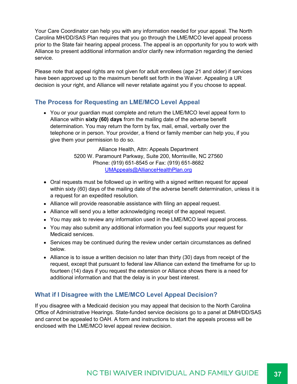Your Care Coordinator can help you with any information needed for your appeal. The North Carolina MH/DD/SAS Plan requires that you go through the LME/MCO level appeal process prior to the State fair hearing appeal process. The appeal is an opportunity for you to work with Alliance to present additional information and/or clarify new information regarding the denied service.

Please note that appeal rights are not given for adult enrollees (age 21 and older) if services have been approved up to the maximum benefit set forth in the Waiver. Appealing a UR decision is your right, and Alliance will never retaliate against you if you choose to appeal.

#### **The Process for Requesting an LME/MCO Level Appeal**

• You or your guardian must complete and return the LME/MCO level appeal form to Alliance within **sixty (60) days** from the mailing date of the adverse benefit determination. You may return the form by fax, mail, email, verbally over the telephone or in person. Your provider, a friend or family member can help you, if you give them your permission to do so.

> Alliance Health, Attn: Appeals Department 5200 W. Paramount Parkway, Suite 200, Morrisville, NC 27560 Phone: (919) 651-8545 or Fax: (919) 651-8682 UMAppeals@AllianceHealthPlan.org

- Oral requests must be followed up in writing with a signed written request for appeal within sixty (60) days of the mailing date of the adverse benefit determination, unless it is a request for an expedited resolution.
- Alliance will provide reasonable assistance with filing an appeal request.
- Alliance will send you a letter acknowledging receipt of the appeal request.
- You may ask to review any information used in the LME/MCO level appeal process.
- You may also submit any additional information you feel supports your request for Medicaid services.
- Services may be continued during the review under certain circumstances as defined below.
- Alliance is to issue a written decision no later than thirty (30) days from receipt of the request, except that pursuant to federal law Alliance can extend the timeframe for up to fourteen (14) days if you request the extension or Alliance shows there is a need for additional information and that the delay is in your best interest.

#### **What if I Disagree with the LME/MCO Level Appeal Decision?**

If you disagree with a Medicaid decision you may appeal that decision to the North Carolina Office of Administrative Hearings. State-funded service decisions go to a panel at DMH/DD/SAS and cannot be appealed to OAH. A form and instructions to start the appeals process will be enclosed with the LME/MCO level appeal review decision.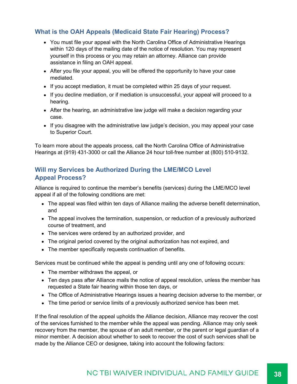#### **What is the OAH Appeals (Medicaid State Fair Hearing) Process?**

- You must file your appeal with the North Carolina Office of Administrative Hearings within 120 days of the mailing date of the notice of resolution. You may represent yourself in this process or you may retain an attorney. Alliance can provide assistance in filing an OAH appeal.
- After you file your appeal, you will be offered the opportunity to have your case mediated.
- If you accept mediation, it must be completed within 25 days of your request.
- If you decline mediation, or if mediation is unsuccessful, your appeal will proceed to a hearing.
- After the hearing, an administrative law judge will make a decision regarding your case.
- If you disagree with the administrative law judge's decision, you may appeal your case to Superior Court.

To learn more about the appeals process, call the North Carolina Office of Administrative Hearings at (919) 431-3000 or call the Alliance 24 hour toll-free number at (800) 510-9132.

#### **Will my Services be Authorized During the LME/MCO Level Appeal Process?**

Alliance is required to continue the member's benefits (services) during the LME/MCO level appeal if all of the following conditions are met:

- The appeal was filed within ten days of Alliance mailing the adverse benefit determination, and
- The appeal involves the termination, suspension, or reduction of a previously authorized course of treatment, and
- The services were ordered by an authorized provider, and
- The original period covered by the original authorization has not expired, and
- The member specifically requests continuation of benefits.

Services must be continued while the appeal is pending until any one of following occurs:

- The member withdraws the appeal, or
- Ten days pass after Alliance mails the notice of appeal resolution, unless the member has requested a State fair hearing within those ten days, or
- The Office of Administrative Hearings issues a hearing decision adverse to the member, or
- The time period or service limits of a previously authorized service has been met.

If the final resolution of the appeal upholds the Alliance decision, Alliance may recover the cost of the services furnished to the member while the appeal was pending. Alliance may only seek recovery from the member, the spouse of an adult member, or the parent or legal guardian of a minor member. A decision about whether to seek to recover the cost of such services shall be made by the Alliance CEO or designee, taking into account the following factors:

#### NC TBI WAIVER INDIVIDUAL AND FAMILY GUIDE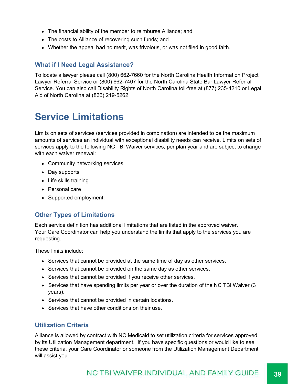- The financial ability of the member to reimburse Alliance; and
- The costs to Alliance of recovering such funds; and
- Whether the appeal had no merit, was frivolous, or was not filed in good faith.

#### **What if I Need Legal Assistance?**

To locate a lawyer please call (800) 662-7660 for the North Carolina Health Information Project Lawyer Referral Service or (800) 662-7407 for the North Carolina State Bar Lawyer Referral Service. You can also call Disability Rights of North Carolina toll-free at (877) 235-4210 or Legal Aid of North Carolina at (866) 219-5262.

### **Service Limitations**

Limits on sets of services (services provided in combination) are intended to be the maximum amounts of services an individual with exceptional disability needs can receive. Limits on sets of services apply to the following NC TBI Waiver services, per plan year and are subject to change with each waiver renewal:

- Community networking services
- Day supports
- Life skills training
- Personal care
- Supported employment.

#### **Other Types of Limitations**

Each service definition has additional limitations that are listed in the approved waiver. Your Care Coordinator can help you understand the limits that apply to the services you are requesting.

These limits include:

- Services that cannot be provided at the same time of day as other services.
- Services that cannot be provided on the same day as other services.
- Services that cannot be provided if you receive other services.
- Services that have spending limits per year or over the duration of the NC TBI Waiver (3 years).
- Services that cannot be provided in certain locations.
- Services that have other conditions on their use.

#### **Utilization Criteria**

Alliance is allowed by contract with NC Medicaid to set utilization criteria for services approved by its Utilization Management department. If you have specific questions or would like to see these criteria, your Care Coordinator or someone from the Utilization Management Department will assist you.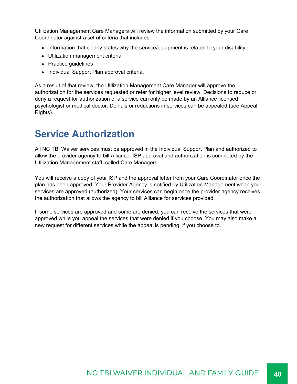Utilization Management Care Managers will review the information submitted by your Care Coordinator against a set of criteria that includes:

- Information that clearly states why the service/equipment is related to your disability
- Utilization management criteria
- Practice guidelines
- Individual Support Plan approval criteria.

As a result of that review, the Utilization Management Care Manager will approve the authorization for the services requested or refer for higher level review. Decisions to reduce or deny a request for authorization of a service can only be made by an Alliance licensed psychologist or medical doctor. Denials or reductions in services can be appealed (see Appeal Rights).

### **Service Authorization**

All NC TBI Waiver services must be approved in the Individual Support Plan and authorized to allow the provider agency to bill Alliance. ISP approval and authorization is completed by the Utilization Management staff, called Care Managers.

You will receive a copy of your ISP and the approval letter from your Care Coordinator once the plan has been approved. Your Provider Agency is notified by Utilization Management when your services are approved (authorized). Your services can begin once the provider agency receives the authorization that allows the agency to bill Alliance for services provided.

If some services are approved and some are denied, you can receive the services that were approved while you appeal the services that were denied if you choose. You may also make a new request for different services while the appeal is pending, if you choose to.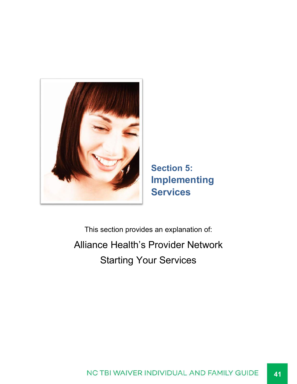![](_page_40_Picture_0.jpeg)

**Section 5: Implementing Services**

This section provides an explanation of: Alliance Health's Provider Network Starting Your Services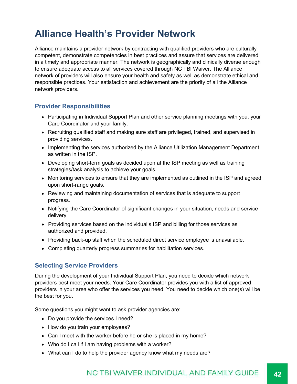### **Alliance Health's Provider Network**

Alliance maintains a provider network by contracting with qualified providers who are culturally competent, demonstrate competencies in best practices and assure that services are delivered in a timely and appropriate manner. The network is geographically and clinically diverse enough to ensure adequate access to all services covered through NC TBI Waiver. The Alliance network of providers will also ensure your health and safety as well as demonstrate ethical and responsible practices. Your satisfaction and achievement are the priority of all the Alliance network providers.

#### **Provider Responsibilities**

- Participating in Individual Support Plan and other service planning meetings with you, your Care Coordinator and your family.
- Recruiting qualified staff and making sure staff are privileged, trained, and supervised in providing services.
- Implementing the services authorized by the Alliance Utilization Management Department as written in the ISP.
- Developing short-term goals as decided upon at the ISP meeting as well as training strategies/task analysis to achieve your goals.
- Monitoring services to ensure that they are implemented as outlined in the ISP and agreed upon short-range goals.
- Reviewing and maintaining documentation of services that is adequate to support progress.
- Notifying the Care Coordinator of significant changes in your situation, needs and service delivery.
- Providing services based on the individual's ISP and billing for those services as authorized and provided.
- Providing back-up staff when the scheduled direct service employee is unavailable.
- Completing quarterly progress summaries for habilitation services.

#### **Selecting Service Providers**

During the development of your Individual Support Plan, you need to decide which network providers best meet your needs. Your Care Coordinator provides you with a list of approved providers in your area who offer the services you need. You need to decide which one(s) will be the best for you.

Some questions you might want to ask provider agencies are:

- Do you provide the services I need?
- How do you train your employees?
- Can I meet with the worker before he or she is placed in my home?
- Who do I call if I am having problems with a worker?
- What can I do to help the provider agency know what my needs are?

#### NC TBI WAIVER INDIVIDUAL AND FAMILY GUIDE **42**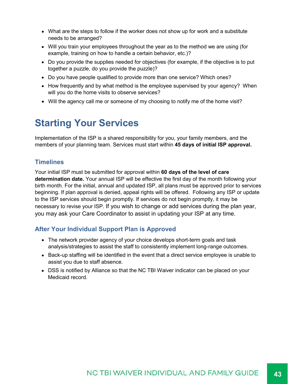- What are the steps to follow if the worker does not show up for work and a substitute needs to be arranged?
- Will you train your employees throughout the year as to the method we are using (for example, training on how to handle a certain behavior, etc.)?
- Do you provide the supplies needed for objectives (for example, if the objective is to put together a puzzle, do you provide the puzzle)?
- Do you have people qualified to provide more than one service? Which ones?
- How frequently and by what method is the employee supervised by your agency? When will you do the home visits to observe services?
- Will the agency call me or someone of my choosing to notify me of the home visit?

### **Starting Your Services**

Implementation of the ISP is a shared responsibility for you, your family members, and the members of your planning team. Services must start within **45 days of initial ISP approval.**

#### **Timelines**

Your initial ISP must be submitted for approval within **60 days of the level of care determination date.** Your annual ISP will be effective the first day of the month following your birth month. For the initial, annual and updated ISP, all plans must be approved prior to services beginning. If plan approval is denied, appeal rights will be offered. Following any ISP or update to the ISP services should begin promptly. If services do not begin promptly, it may be necessary to revise your ISP. If you wish to change or add services during the plan year, you may ask your Care Coordinator to assist in updating your ISP at any time.

#### **After Your Individual Support Plan is Approved**

- The network provider agency of your choice develops short-term goals and task analysis/strategies to assist the staff to consistently implement long-range outcomes.
- Back-up staffing will be identified in the event that a direct service employee is unable to assist you due to staff absence.
- DSS is notified by Alliance so that the NC TBI Waiver indicator can be placed on your Medicaid record.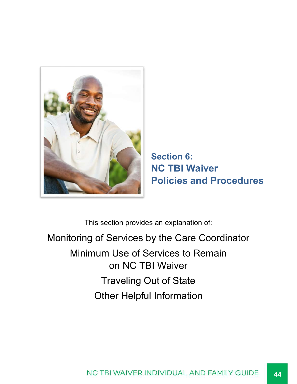![](_page_43_Picture_0.jpeg)

**Section 6: NC TBI Waiver Policies and Procedures**

This section provides an explanation of:

Monitoring of Services by the Care Coordinator Minimum Use of Services to Remain on NC TBI Waiver Traveling Out of State Other Helpful Information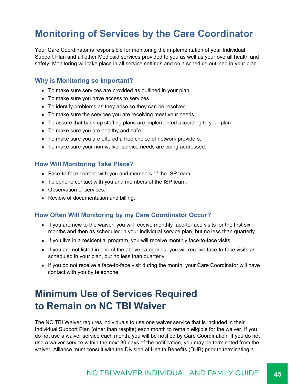### **Monitoring of Services by the Care Coordinator**

Your Care Coordinator is responsible for monitoring the implementation of your Individual Support Plan and all other Medicaid services provided to you as well as your overall health and safety. Monitoring will take place in all service settings and on a schedule outlined in your plan.

#### **Why is Monitoring so Important?**

- To make sure services are provided as outlined in your plan.
- To make sure you have access to services.
- To identify problems as they arise so they can be resolved.
- To make sure the services you are receiving meet your needs.
- To assure that back-up staffing plans are implemented according to your plan.
- To make sure you are healthy and safe.
- To make sure you are offered a free choice of network providers.
- To make sure your non-waiver service needs are being addressed.

#### **How Will Monitoring Take Place?**

- Face-to-face contact with you and members of the ISP team.
- Telephone contact with you and members of the ISP team.
- Observation of services.
- Review of documentation and billing.

#### **How Often Will Monitoring by my Care Coordinator Occur?**

- $\bullet$  If you are new to the waiver, you will receive monthly face-to-face visits for the first six months and then as scheduled in your individual service plan, but no less than quarterly.
- If you live in a residential program, you will receive monthly face-to-face visits.
- If you are not listed in one of the above categories, you will receive face-to-face visits as scheduled in your plan, but no less than quarterly.
- If you do not receive a face-to-face visit during the month, your Care Coordinator will have contact with you by telephone.

### **Minimum Use of Services Required to Remain on NC TBI Waiver**

The NC TBI Waiver requires individuals to use one waiver service that is included in their Individual Support Plan (other than respite) each month to remain eligible for the waiver. If you do not use a waiver service each month, you will be notified by Care Coordination. If you do not use a waiver service within the next 30 days of the notification, you may be terminated from the waiver. Alliance must consult with the Division of Health Benefits (DHB) prior to terminating a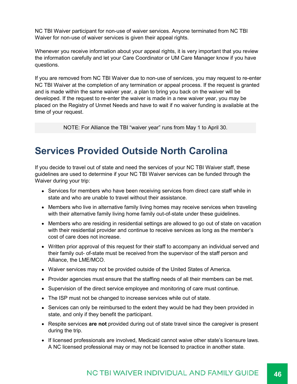NC TBI Waiver participant for non-use of waiver services. Anyone terminated from NC TBI Waiver for non-use of waiver services is given their appeal rights.

Whenever you receive information about your appeal rights, it is very important that you review the information carefully and let your Care Coordinator or UM Care Manager know if you have questions.

If you are removed from NC TBI Waiver due to non-use of services, you may request to re-enter NC TBI Waiver at the completion of any termination or appeal process. If the request is granted and is made within the same waiver year, a plan to bring you back on the waiver will be developed. If the request to re-enter the waiver is made in a new waiver year, you may be placed on the Registry of Unmet Needs and have to wait if no waiver funding is available at the time of your request.

NOTE: For Alliance the TBI "waiver year" runs from May 1 to April 30.

### **Services Provided Outside North Carolina**

If you decide to travel out of state and need the services of your NC TBI Waiver staff, these guidelines are used to determine if your NC TBI Waiver services can be funded through the Waiver during your trip:

- Services for members who have been receiving services from direct care staff while in state and who are unable to travel without their assistance.
- Members who live in alternative family living homes may receive services when traveling with their alternative family living home family out-of-state under these guidelines.
- Members who are residing in residential settings are allowed to go out of state on vacation with their residential provider and continue to receive services as long as the member's cost of care does not increase.
- Written prior approval of this request for their staff to accompany an individual served and their family out- of-state must be received from the supervisor of the staff person and Alliance, the LME/MCO.
- Waiver services may not be provided outside of the United States of America.
- Provider agencies must ensure that the staffing needs of all their members can be met.
- Supervision of the direct service employee and monitoring of care must continue.
- The ISP must not be changed to increase services while out of state.
- Services can only be reimbursed to the extent they would be had they been provided in state, and only if they benefit the participant.
- Respite services **are not** provided during out of state travel since the caregiver is present during the trip.
- If licensed professionals are involved, Medicaid cannot waive other state's licensure laws. A NC licensed professional may or may not be licensed to practice in another state.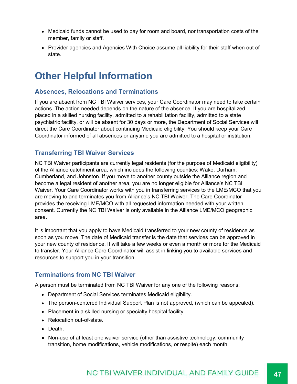- Medicaid funds cannot be used to pay for room and board, nor transportation costs of the member, family or staff.
- Provider agencies and Agencies With Choice assume all liability for their staff when out of state.

### **Other Helpful Information**

#### **Absences, Relocations and Terminations**

If you are absent from NC TBI Waiver services, your Care Coordinator may need to take certain actions. The action needed depends on the nature of the absence. If you are hospitalized, placed in a skilled nursing facility, admitted to a rehabilitation facility, admitted to a state psychiatric facility, or will be absent for 30 days or more, the Department of Social Services will direct the Care Coordinator about continuing Medicaid eligibility. You should keep your Care Coordinator informed of all absences or anytime you are admitted to a hospital or institution.

#### **Transferring TBI Waiver Services**

NC TBI Waiver participants are currently legal residents (for the purpose of Medicaid eligibility) of the Alliance catchment area, which includes the following counties: Wake, Durham, Cumberland, and Johnston. If you move to another county outside the Alliance region and become a legal resident of another area, you are no longer eligible for Alliance's NC TBI Waiver. Your Care Coordinator works with you in transferring services to the LME/MCO that you are moving to and terminates you from Alliance's NC TBI Waiver. The Care Coordinator provides the receiving LME/MCO with all requested information needed with your written consent. Currently the NC TBI Waiver is only available in the Alliance LME/MCO geographic area.

It is important that you apply to have Medicaid transferred to your new county of residence as soon as you move. The date of Medicaid transfer is the date that services can be approved in your new county of residence. It will take a few weeks or even a month or more for the Medicaid to transfer. Your Alliance Care Coordinator will assist in linking you to available services and resources to support you in your transition.

#### **Terminations from NC TBI Waiver**

A person must be terminated from NC TBI Waiver for any one of the following reasons:

- Department of Social Services terminates Medicaid eligibility.
- The person-centered Individual Support Plan is not approved, (which can be appealed).
- Placement in a skilled nursing or specialty hospital facility.
- Relocation out-of-state.
- Death.
- Non-use of at least one waiver service (other than assistive technology, community transition, home modifications, vehicle modifications, or respite) each month.

#### NC TBI WAIVER INDIVIDUAL AND FAMILY GUIDE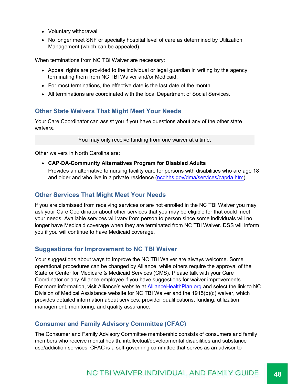- Voluntary withdrawal.
- No longer meet SNF or specialty hospital level of care as determined by Utilization Management (which can be appealed).

When terminations from NC TBI Waiver are necessary:

- Appeal rights are provided to the individual or legal guardian in writing by the agency terminating them from NC TBI Waiver and/or Medicaid.
- $\bullet$  For most terminations, the effective date is the last date of the month.
- All terminations are coordinated with the local Department of Social Services.

#### **Other State Waivers That Might Meet Your Needs**

Your Care Coordinator can assist you if you have questions about any of the other state waivers.

You may only receive funding from one waiver at a time.

Other waivers in North Carolina are:

**CAP-DA-Community Alternatives Program for Disabled Adults**

Provides an alternative to nursing facility care for persons with disabilities who are age 18 and older and who live in a private residence (ncdhhs.gov/dma/services/capda.htm).

#### **Other Services That Might Meet Your Needs**

If you are dismissed from receiving services or are not enrolled in the NC TBI Waiver you may ask your Care Coordinator about other services that you may be eligible for that could meet your needs. Available services will vary from person to person since some individuals will no longer have Medicaid coverage when they are terminated from NC TBI Waiver. DSS will inform you if you will continue to have Medicaid coverage.

#### **Suggestions for Improvement to NC TBI Waiver**

Your suggestions about ways to improve the NC TBI Waiver are always welcome. Some operational procedures can be changed by Alliance, while others require the approval of the State or Center for Medicare & Medicaid Services (CMS). Please talk with your Care Coordinator or any Alliance employee if you have suggestions for waiver improvements. For more information, visit Alliance's website at AllianceHealthPlan.org and select the link to NC Division of Medical Assistance website for NC TBI Waiver and the 1915(b)(c) waiver, which provides detailed information about services, provider qualifications, funding, utilization management, monitoring, and quality assurance.

#### **Consumer and Family Advisory Committee (CFAC)**

The Consumer and Family Advisory Committee membership consists of consumers and family members who receive mental health, intellectual/developmental disabilities and substance use/addiction services. CFAC is a self-governing committee that serves as an advisor to

#### NC TBI WAIVER INDIVIDUAL AND FAMILY GUIDE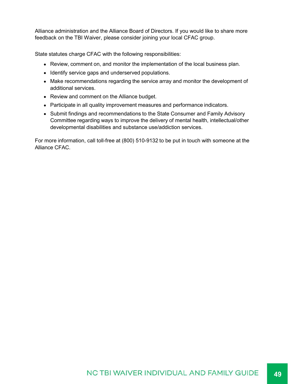Alliance administration and the Alliance Board of Directors. If you would like to share more feedback on the TBI Waiver, please consider joining your local CFAC group.

State statutes charge CFAC with the following responsibilities:

- Review, comment on, and monitor the implementation of the local business plan.
- Identify service gaps and underserved populations.
- Make recommendations regarding the service array and monitor the development of additional services.
- Review and comment on the Alliance budget.
- Participate in all quality improvement measures and performance indicators.
- Submit findings and recommendations to the State Consumer and Family Advisory Committee regarding ways to improve the delivery of mental health, intellectual/other developmental disabilities and substance use/addiction services.

For more information, call toll-free at (800) 510-9132 to be put in touch with someone at the Alliance CFAC.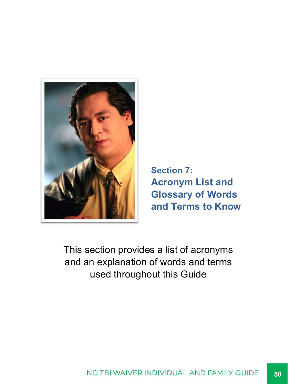![](_page_49_Picture_0.jpeg)

**Section 7: Acronym List and Glossary of Words and Terms to Know**

This section provides a list of acronyms and an explanation of words and terms used throughout this Guide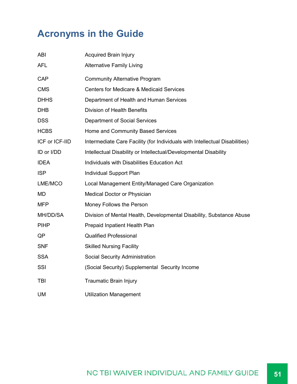### **Acronyms in the Guide**

| <b>ABI</b>     | <b>Acquired Brain Injury</b>                                                |
|----------------|-----------------------------------------------------------------------------|
| <b>AFL</b>     | <b>Alternative Family Living</b>                                            |
| <b>CAP</b>     | <b>Community Alternative Program</b>                                        |
| <b>CMS</b>     | <b>Centers for Medicare &amp; Medicaid Services</b>                         |
| <b>DHHS</b>    | Department of Health and Human Services                                     |
| <b>DHB</b>     | <b>Division of Health Benefits</b>                                          |
| <b>DSS</b>     | <b>Department of Social Services</b>                                        |
| <b>HCBS</b>    | Home and Community Based Services                                           |
| ICF or ICF-IID | Intermediate Care Facility (for Individuals with Intellectual Disabilities) |
| ID or I/DD     | Intellectual Disability or Intellectual/Developmental Disability            |
| <b>IDEA</b>    | Individuals with Disabilities Education Act                                 |
| <b>ISP</b>     | Individual Support Plan                                                     |
| LME/MCO        | Local Management Entity/Managed Care Organization                           |
| <b>MD</b>      | Medical Doctor or Physician                                                 |
| <b>MFP</b>     | Money Follows the Person                                                    |
| MH/DD/SA       | Division of Mental Health, Developmental Disability, Substance Abuse        |
| <b>PIHP</b>    | Prepaid Inpatient Health Plan                                               |
| QP             | <b>Qualified Professional</b>                                               |
| <b>SNF</b>     | <b>Skilled Nursing Facility</b>                                             |
| <b>SSA</b>     | Social Security Administration                                              |
| SSI            | (Social Security) Supplemental Security Income                              |
| TBI            | <b>Traumatic Brain Injury</b>                                               |
| <b>UM</b>      | <b>Utilization Management</b>                                               |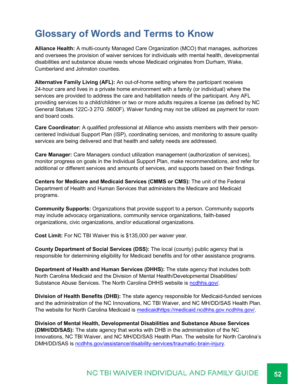### **Glossary of Words and Terms to Know**

**Alliance Health:** A multi-county Managed Care Organization (MCO) that manages, authorizes and oversees the provision of waiver services for individuals with mental health, developmental disabilities and substance abuse needs whose Medicaid originates from Durham, Wake, Cumberland and Johnston counties.

**Alternative Family Living (AFL):** An out-of-home setting where the participant receives 24-hour care and lives in a private home environment with a family (or individual) where the services are provided to address the care and habilitation needs of the participant. Any AFL providing services to a child/children or two or more adults requires a license (as defined by NC General Statues 122C-3 27G .5600F). Waiver funding may not be utilized as payment for room and board costs.

**Care Coordinator:** A qualified professional at Alliance who assists members with their personcentered Individual Support Plan (ISP), coordinating services, and monitoring to assure quality services are being delivered and that health and safety needs are addressed.

**Care Manager:** Care Managers conduct utilization management (authorization of services), monitor progress on goals in the Individual Support Plan, make recommendations, and refer for additional or different services and amounts of services, and supports based on their findings.

**Centers for Medicare and Medicaid Services (CMMS or CMS):** The unit of the Federal Department of Health and Human Services that administers the Medicare and Medicaid programs.

**Community Supports:** Organizations that provide support to a person. Community supports may include advocacy organizations, community service organizations, faith-based organizations, civic organizations, and/or educational organizations.

**Cost Limit:** For NC TBI Waiver this is \$135,000 per waiver year.

**County Department of Social Services (DSS):** The local (county) public agency that is responsible for determining eligibility for Medicaid benefits and for other assistance programs.

**Department of Health and Human Services (DHHS):** The state agency that includes both North Carolina Medicaid and the Division of Mental Health/Developmental Disabilities/ Substance Abuse Services. The North Carolina DHHS website is ncdhhs.gov/.

**Division of Health Benefits (DHB):** The state agency responsible for Medicaid-funded services and the administration of the NC Innovations, NC TBI Waiver, and NC MH/DD/SAS Health Plan. The website for North Carolina Medicaid is medicaidhttps://medicaid.ncdhhs.gov.ncdhhs.gov/.

**Division of Mental Health, Developmental Disabilities and Substance Abuse Services (DMH/DD/SAS):** The state agency that works with DHB in the administration of the NC Innovations, NC TBI Waiver, and NC MH/DD/SAS Health Plan. The website for North Carolina's DMH/DD/SAS is ncdhhs.gov/assistance/disability-services/traumatic-brain-injury.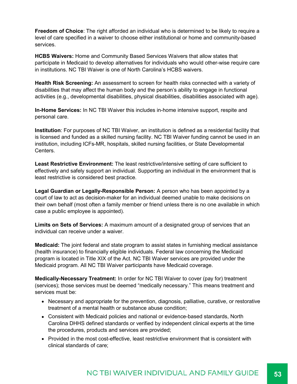**Freedom of Choice**: The right afforded an individual who is determined to be likely to require a level of care specified in a waiver to choose either institutional or home and community-based services.

**HCBS Waivers:** Home and Community Based Services Waivers that allow states that participate in Medicaid to develop alternatives for individuals who would other-wise require care in institutions. NC TBI Waiver is one of North Carolina's HCBS waivers.

**Health Risk Screening:** An assessment to screen for health risks connected with a variety of disabilities that may affect the human body and the person's ability to engage in functional activities (e.g., developmental disabilities, physical disabilities, disabilities associated with age).

**In-Home Services:** In NC TBI Waiver this includes in-home intensive support, respite and personal care.

**Institution**: For purposes of NC TBI Waiver, an institution is defined as a residential facility that is licensed and funded as a skilled nursing facility. NC TBI Waiver funding cannot be used in an institution, including ICFs-MR, hospitals, skilled nursing facilities, or State Developmental Centers.

**Least Restrictive Environment:** The least restrictive/intensive setting of care sufficient to effectively and safely support an individual. Supporting an individual in the environment that is least restrictive is considered best practice.

**Legal Guardian or Legally-Responsible Person:** A person who has been appointed by a court of law to act as decision-maker for an individual deemed unable to make decisions on their own behalf (most often a family member or friend unless there is no one available in which case a public employee is appointed).

**Limits on Sets of Services:** A maximum amount of a designated group of services that an individual can receive under a waiver.

**Medicaid:** The joint federal and state program to assist states in furnishing medical assistance (health insurance) to financially eligible individuals. Federal law concerning the Medicaid program is located in Title XIX of the Act. NC TBI Waiver services are provided under the Medicaid program. All NC TBI Waiver participants have Medicaid coverage.

**Medically-Necessary Treatment:** In order for NC TBI Waiver to cover (pay for) treatment (services); those services must be deemed "medically necessary." This means treatment and services must be:

- Necessary and appropriate for the prevention, diagnosis, palliative, curative, or restorative treatment of a mental health or substance abuse condition;
- Consistent with Medicaid policies and national or evidence-based standards, North Carolina DHHS defined standards or verified by independent clinical experts at the time the procedures, products and services are provided;
- Provided in the most cost-effective, least restrictive environment that is consistent with clinical standards of care;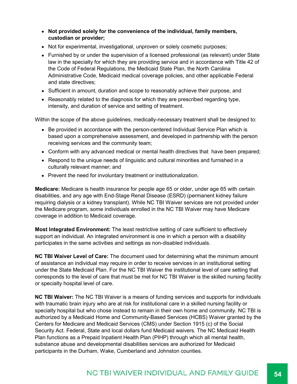- **Not provided solely for the convenience of the individual, family members, custodian or provider;**
- Not for experimental, investigational, unproven or solely cosmetic purposes;
- Furnished by or under the supervision of a licensed professional (as relevant) under State law in the specialty for which they are providing service and in accordance with Title 42 of the Code of Federal Regulations, the Medicaid State Plan, the North Carolina Administrative Code, Medicaid medical coverage policies, and other applicable Federal and state directives;
- Sufficient in amount, duration and scope to reasonably achieve their purpose, and
- Reasonably related to the diagnosis for which they are prescribed regarding type, intensity, and duration of service and setting of treatment.

Within the scope of the above guidelines, medically-necessary treatment shall be designed to:

- Be provided in accordance with the person-centered Individual Service Plan which is based upon a comprehensive assessment, and developed in partnership with the person receiving services and the community team;
- Conform with any advanced medical or mental health directives that have been prepared;
- Respond to the unique needs of linguistic and cultural minorities and furnished in a culturally relevant manner; and
- Prevent the need for involuntary treatment or institutionalization.

**Medicare:** Medicare is health insurance for people age 65 or older, under age 65 with certain disabilities, and any age with End-Stage Renal Disease (ESRD) (permanent kidney failure requiring dialysis or a kidney transplant). While NC TBI Waiver services are not provided under the Medicare program, some individuals enrolled in the NC TBI Waiver may have Medicare coverage in addition to Medicaid coverage.

**Most Integrated Environment:** The least restrictive setting of care sufficient to effectively support an individual. An integrated environment is one in which a person with a disability participates in the same activities and settings as non-disabled individuals.

**NC TBI Waiver Level of Care:** The document used for determining what the minimum amount of assistance an individual may require in order to receive services in an institutional setting under the State Medicaid Plan. For the NC TBI Waiver the institutional level of care setting that corresponds to the level of care that must be met for NC TBI Waiver is the skilled nursing facility or specialty hospital level of care.

**NC TBI Waiver:** The NC TBI Waiver is a means of funding services and supports for individuals with traumatic brain injury who are at risk for institutional care in a skilled nursing facility or specialty hospital but who chose instead to remain in their own home and community. NC TBI is authorized by a Medicaid Home and Community-Based Services (HCBS) Waiver granted by the Centers for Medicare and Medicaid Services (CMS) under Section 1915 (c) of the Social Security Act. Federal, State and local dollars fund Medicaid waivers. The NC Medicaid Health Plan functions as a Prepaid Inpatient Health Plan (PIHP) through which all mental health, substance abuse and developmental disabilities services are authorized for Medicaid participants in the Durham, Wake, Cumberland and Johnston counties.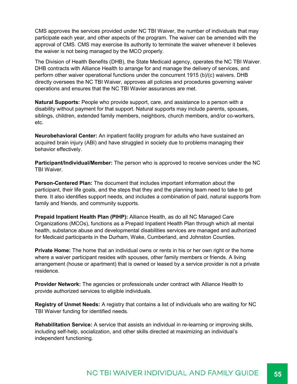CMS approves the services provided under NC TBI Waiver, the number of individuals that may participate each year, and other aspects of the program. The waiver can be amended with the approval of CMS. CMS may exercise its authority to terminate the waiver whenever it believes the waiver is not being managed by the MCO properly.

The Division of Health Benefits (DHB), the State Medicaid agency, operates the NC TBI Waiver. DHB contracts with Alliance Health to arrange for and manage the delivery of services, and perform other waiver operational functions under the concurrent 1915 (b)/(c) waivers. DHB directly oversees the NC TBI Waiver, approves all policies and procedures governing waiver operations and ensures that the NC TBI Wavier assurances are met.

**Natural Supports:** People who provide support, care, and assistance to a person with a disability without payment for that support. Natural supports may include parents, spouses, siblings, children, extended family members, neighbors, church members, and/or co-workers, etc.

**Neurobehavioral Center:** An inpatient facility program for adults who have sustained an acquired brain injury (ABI) and have struggled in society due to problems managing their behavior effectively.

**Participant/Individual/Member:** The person who is approved to receive services under the NC TBI Waiver.

**Person-Centered Plan:** The document that includes important information about the participant, their life goals, and the steps that they and the planning team need to take to get there. It also identifies support needs, and includes a combination of paid, natural supports from family and friends, and community supports.

**Prepaid Inpatient Health Plan (PIHP):** Alliance Health, as do all NC Managed Care Organizations (MCOs), functions as a Prepaid Inpatient Health Plan through which all mental health, substance abuse and developmental disabilities services are managed and authorized for Medicaid participants in the Durham, Wake, Cumberland, and Johnston Counties.

**Private Home:** The home that an individual owns or rents in his or her own right or the home where a waiver participant resides with spouses, other family members or friends. A living arrangement (house or apartment) that is owned or leased by a service provider is not a private residence.

**Provider Network:** The agencies or professionals under contract with Alliance Health to provide authorized services to eligible individuals.

**Registry of Unmet Needs:** A registry that contains a list of individuals who are waiting for NC TBI Waiver funding for identified needs.

**Rehabilitation Service:** A service that assists an individual in re-learning or improving skills, including self-help, socialization, and other skills directed at maximizing an individual's independent functioning.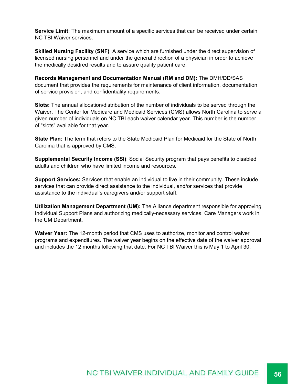**Service Limit:** The maximum amount of a specific services that can be received under certain NC TBI Waiver services.

**Skilled Nursing Facility (SNF)**: A service which are furnished under the direct supervision of licensed nursing personnel and under the general direction of a physician in order to achieve the medically desidred results and to assure quality patient care.

**Records Management and Documentation Manual (RM and DM):** The DMH/DD/SAS document that provides the requirements for maintenance of client information, documentation of service provision, and confidentiality requirements.

**Slots:** The annual allocation/distribution of the number of individuals to be served through the Waiver. The Center for Medicare and Medicaid Services (CMS) allows North Carolina to serve a given number of individuals on NC TBI each waiver calendar year. This number is the number of "slots" available for that year.

**State Plan:** The term that refers to the State Medicaid Plan for Medicaid for the State of North Carolina that is approved by CMS.

**Supplemental Security Income (SSI)**: Social Security program that pays benefits to disabled adults and children who have limited income and resources.

**Support Services:** Services that enable an individual to live in their community. These include services that can provide direct assistance to the individual, and/or services that provide assistance to the individual's caregivers and/or support staff.

**Utilization Management Department (UM):** The Alliance department responsible for approving Individual Support Plans and authorizing medically-necessary services. Care Managers work in the UM Department.

**Waiver Year:** The 12-month period that CMS uses to authorize, monitor and control waiver programs and expenditures. The waiver year begins on the effective date of the waiver approval and includes the 12 months following that date. For NC TBI Waiver this is May 1 to April 30.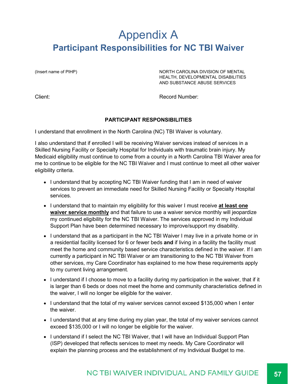### Appendix A **Participant Responsibilities for NC TBI Waiver**

(Insert name of PIHP)  $NORTH CAROLINA DIVISION OF MENTIAL$ HEALTH, DEVELOPMENTAL DISABILITIES AND SUBSTANCE ABUSE SERVICES

Client: Record Number:

#### **PARTICIPANT RESPONSIBILITIES**

I understand that enrollment in the North Carolina (NC) TBI Waiver is voluntary.

I also understand that if enrolled I will be receiving Waiver services instead of services in a Skilled Nursing Facility or Specialty Hospital for Individuals with traumatic brain injury. My Medicaid eligibility must continue to come from a county in a North Carolina TBI Waiver area for me to continue to be eligible for the NC TBI Waiver and I must continue to meet all other waiver eligibility criteria.

- I understand that by accepting NC TBI Waiver funding that I am in need of waiver services to prevent an immediate need for Skilled Nursing Facility or Specialty Hospital services.
- I understand that to maintain my eligibility for this waiver I must receive **at least one waiver service monthly** and that failure to use a waiver service monthly will jeopardize my continued eligibility for the NC TBI Waiver. The services approved in my Individual Support Plan have been determined necessary to improve/support my disability.
- I understand that as a participant in the NC TBI Waiver I may live in a private home or in a residential facility licensed for 6 or fewer beds **and** if living in a facility the facility must meet the home and community based service characteristics defined in the waiver. If I am currently a participant in NC TBI Waiver or am transitioning to the NC TBI Waiver from other services, my Care Coordinator has explained to me how these requirements apply to my current living arrangement.
- I understand if I choose to move to a facility during my participation in the waiver, that if it is larger than 6 beds or does not meet the home and community characteristics defined in the waiver, I will no longer be eligible for the waiver.
- I understand that the total of my waiver services cannot exceed \$135,000 when I enter the waiver.
- I understand that at any time during my plan year, the total of my waiver services cannot exceed \$135,000 or I will no longer be eligible for the waiver.
- I understand if I select the NC TBI Waiver, that I will have an Individual Support Plan (ISP) developed that reflects services to meet my needs. My Care Coordinator will explain the planning process and the establishment of my Individual Budget to me.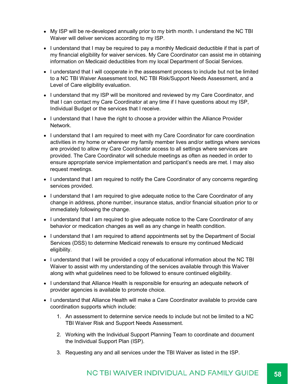- My ISP will be re-developed annually prior to my birth month. I understand the NC TBI Waiver will deliver services according to my ISP.
- I understand that I may be required to pay a monthly Medicaid deductible if that is part of my financial eligibility for waiver services. My Care Coordinator can assist me in obtaining information on Medicaid deductibles from my local Department of Social Services.
- I understand that I will cooperate in the assessment process to include but not be limited to a NC TBI Waiver Assessment tool, NC TBI Risk/Support Needs Assessment, and a Level of Care eligibility evaluation.
- I understand that my ISP will be monitored and reviewed by my Care Coordinator, and that I can contact my Care Coordinator at any time if I have questions about my ISP, Individual Budget or the services that I receive.
- I understand that I have the right to choose a provider within the Alliance Provider Network.
- I understand that I am required to meet with my Care Coordinator for care coordination activities in my home or wherever my family member lives and/or settings where services are provided to allow my Care Coordinator access to all settings where services are provided. The Care Coordinator will schedule meetings as often as needed in order to ensure appropriate service implementation and participant's needs are met. I may also request meetings.
- I understand that I am required to notify the Care Coordinator of any concerns regarding services provided.
- I understand that I am required to give adequate notice to the Care Coordinator of any change in address, phone number, insurance status, and/or financial situation prior to or immediately following the change.
- I understand that I am required to give adequate notice to the Care Coordinator of any behavior or medication changes as well as any change in health condition.
- I understand that I am required to attend appointments set by the Department of Social Services (DSS) to determine Medicaid renewals to ensure my continued Medicaid eligibility.
- I understand that I will be provided a copy of educational information about the NC TBI Waiver to assist with my understanding of the services available through this Waiver along with what guidelines need to be followed to ensure continued eligibility.
- I understand that Alliance Health is responsible for ensuring an adequate network of provider agencies is available to promote choice.
- I understand that Alliance Health will make a Care Coordinator available to provide care coordination supports which include:
	- 1. An assessment to determine service needs to include but not be limited to a NC TBI Waiver Risk and Support Needs Assessment.
	- 2. Working with the Individual Support Planning Team to coordinate and document the Individual Support Plan (ISP).
	- 3. Requesting any and all services under the TBI Waiver as listed in the ISP.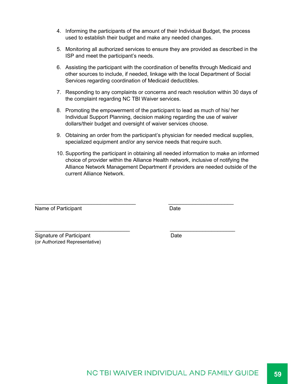- 4. Informing the participants of the amount of their Individual Budget, the process used to establish their budget and make any needed changes.
- 5. Monitoring all authorized services to ensure they are provided as described in the ISP and meet the participant's needs.
- 6. Assisting the participant with the coordination of benefits through Medicaid and other sources to include, if needed, linkage with the local Department of Social Services regarding coordination of Medicaid deductibles.
- 7. Responding to any complaints or concerns and reach resolution within 30 days of the complaint regarding NC TBI Waiver services.
- 8. Promoting the empowerment of the participant to lead as much of his/ her Individual Support Planning, decision making regarding the use of waiver dollars/their budget and oversight of waiver services choose.

 $\_$  , and the set of the set of the set of the set of the set of the set of the set of the set of the set of the set of the set of the set of the set of the set of the set of the set of the set of the set of the set of th

\_\_\_\_\_\_\_\_\_\_\_\_\_\_\_\_\_\_\_\_\_\_\_\_\_\_\_\_\_\_\_\_ \_\_\_\_\_\_\_\_\_\_\_\_\_\_\_\_\_\_\_\_\_\_

- 9. Obtaining an order from the participant's physician for needed medical supplies, specialized equipment and/or any service needs that require such.
- 10. Supporting the participant in obtaining all needed information to make an informed choice of provider within the Alliance Health network, inclusive of notifying the Alliance Network Management Department if providers are needed outside of the current Alliance Network.

Name of Participant Name of Participant

Signature of Participant **Date** Date (or Authorized Representative)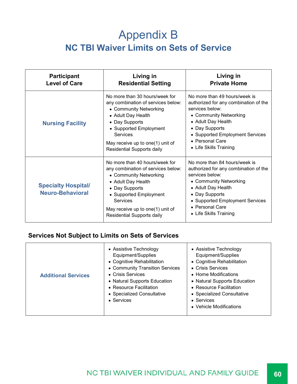### Appendix B **NC TBI Waiver Limits on Sets of Service**

| <b>Participant</b><br><b>Level of Care</b>            | Living in<br><b>Residential Setting</b>                                                                                                                                                                                                                      | Living in<br><b>Private Home</b>                                                                                                                                                                                                            |
|-------------------------------------------------------|--------------------------------------------------------------------------------------------------------------------------------------------------------------------------------------------------------------------------------------------------------------|---------------------------------------------------------------------------------------------------------------------------------------------------------------------------------------------------------------------------------------------|
| <b>Nursing Facility</b>                               | No more than 30 hours/week for<br>any combination of services below:<br>• Community Networking<br>• Adult Day Health<br>• Day Supports<br>• Supported Employment<br>Services<br>May receive up to one(1) unit of<br><b>Residential Supports daily</b>        | No more than 49 hours/week is<br>authorized for any combination of the<br>services below:<br>• Community Networking<br>• Adult Day Health<br>• Day Supports<br>• Supported Employment Services<br>• Personal Care<br>• Life Skills Training |
| <b>Specialty Hospital/</b><br><b>Neuro-Behavioral</b> | No more than 40 hours/week for<br>any combination of services below:<br>• Community Networking<br>• Adult Day Health<br>• Day Supports<br>• Supported Employment<br><b>Services</b><br>May receive up to one(1) unit of<br><b>Residential Supports daily</b> | No more than 84 hours/week is<br>authorized for any combination of the<br>services below:<br>• Community Networking<br>• Adult Day Health<br>• Day Supports<br>• Supported Employment Services<br>• Personal Care<br>• Life Skills Training |

#### **Services Not Subject to Limits on Sets of Services**

| <b>Additional Services</b> | • Assistive Technology<br>Equipment/Supplies<br>• Cognitive Rehabilitation<br>• Community Transition Services<br>• Crisis Services<br>• Natural Supports Education<br>• Resource Facilitation<br>• Specialized Consultative<br>• Services | • Assistive Technology<br>Equipment/Supplies<br>• Cognitive Rehabilitation<br>• Crisis Services<br>• Home Modifications<br>• Natural Supports Education<br>• Resource Facilitation<br>• Specialized Consultative<br>$\bullet$ Services<br>• Vehicle Modifications |
|----------------------------|-------------------------------------------------------------------------------------------------------------------------------------------------------------------------------------------------------------------------------------------|-------------------------------------------------------------------------------------------------------------------------------------------------------------------------------------------------------------------------------------------------------------------|
|----------------------------|-------------------------------------------------------------------------------------------------------------------------------------------------------------------------------------------------------------------------------------------|-------------------------------------------------------------------------------------------------------------------------------------------------------------------------------------------------------------------------------------------------------------------|